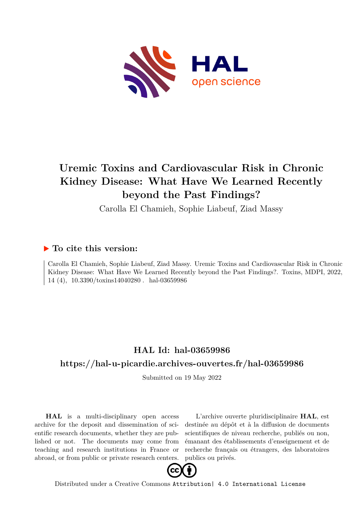

# **Uremic Toxins and Cardiovascular Risk in Chronic Kidney Disease: What Have We Learned Recently beyond the Past Findings?**

Carolla El Chamieh, Sophie Liabeuf, Ziad Massy

## **To cite this version:**

Carolla El Chamieh, Sophie Liabeuf, Ziad Massy. Uremic Toxins and Cardiovascular Risk in Chronic Kidney Disease: What Have We Learned Recently beyond the Past Findings?. Toxins, MDPI, 2022, 14 (4), 10.3390/toxins14040280. hal-03659986

## **HAL Id: hal-03659986 <https://hal-u-picardie.archives-ouvertes.fr/hal-03659986>**

Submitted on 19 May 2022

**HAL** is a multi-disciplinary open access archive for the deposit and dissemination of scientific research documents, whether they are published or not. The documents may come from teaching and research institutions in France or abroad, or from public or private research centers.

L'archive ouverte pluridisciplinaire **HAL**, est destinée au dépôt et à la diffusion de documents scientifiques de niveau recherche, publiés ou non, émanant des établissements d'enseignement et de recherche français ou étrangers, des laboratoires publics ou privés.



Distributed under a Creative Commons [Attribution| 4.0 International License](http://creativecommons.org/licenses/by/4.0/)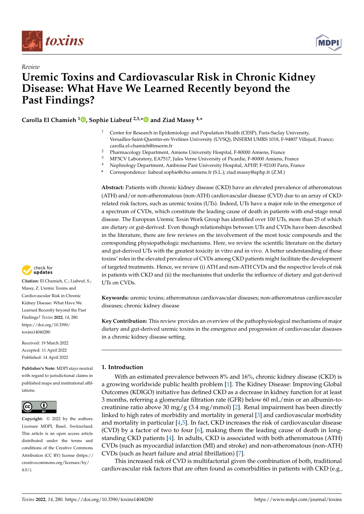

*Review*



## **Uremic Toxins and Cardiovascular Risk in Chronic Kidney Disease: What Have We Learned Recently beyond the Past Findings?**

**Carolla El Chamieh <sup>1</sup> [,](https://orcid.org/0000-0003-2536-556X) Sophie Liabeuf 2,3,[\\*](https://orcid.org/0000-0001-5384-9006) and Ziad Massy 4,\***

- <sup>1</sup> Center for Research in Epidemiology and Population Health (CESP), Paris-Saclay University, Versailles-Saint-Quentin-en-Yvelines University (UVSQ), INSERM UMRS 1018, F-94807 Villejuif, France; carolla.el-chamieh@inserm.fr
- <sup>2</sup> Pharmacology Department, Amiens University Hospital, F-80000 Amiens, France<br><sup>3</sup> MP3CV Laboratory EA7517 Jules Verno University of Pieardio E 80000 Amiens
- <sup>3</sup> MP3CV Laboratory, EA7517, Jules Verne University of Picardie, F-80000 Amiens, France
- <sup>4</sup> Nephrology Department, Ambroise Paré University Hospital, APHP, F-92100 Paris, France
- **\*** Correspondence: liabeuf.sophie@chu-amiens.fr (S.L.); ziad.massy@aphp.fr (Z.M.)

**Abstract:** Patients with chronic kidney disease (CKD) have an elevated prevalence of atheromatous (ATH) and/or non-atheromatous (non-ATH) cardiovascular disease (CVD) due to an array of CKDrelated risk factors, such as uremic toxins (UTs). Indeed, UTs have a major role in the emergence of a spectrum of CVDs, which constitute the leading cause of death in patients with end-stage renal disease. The European Uremic Toxin Work Group has identified over 100 UTs, more than 25 of which are dietary or gut-derived. Even though relationships between UTs and CVDs have been described in the literature, there are few reviews on the involvement of the most toxic compounds and the corresponding physiopathologic mechanisms. Here, we review the scientific literature on the dietary and gut-derived UTs with the greatest toxicity in vitro and in vivo. A better understanding of these toxins' roles in the elevated prevalence of CVDs among CKD patients might facilitate the development of targeted treatments. Hence, we review (i) ATH and non-ATH CVDs and the respective levels of risk in patients with CKD and (ii) the mechanisms that underlie the influence of dietary and gut-derived UTs on CVDs.

**Keywords:** uremic toxins; atheromatous cardiovascular diseases; non-atheromatous cardiovascular diseases; chronic kidney disease

**Key Contribution:** This review provides an overview of the pathophysiological mechanisms of major dietary and gut-derived uremic toxins in the emergence and progression of cardiovascular diseases in a chronic kidney disease setting.

#### **1. Introduction**

With an estimated prevalence between 8% and 16%, chronic kidney disease (CKD) is a growing worldwide public health problem [1]. The Kidney Disease: Improving Global Outcomes (KDIGO) initiative has defined CKD as a decrease in kidney function for at least 3 months, referring a glomerular filtration rate (GFR) below 60 mL/min or an albumin-tocreatinine ratio above 30 mg/g (3.4 mg/mmol) [2]. Renal impairment has been directly linked to high rates of morbidity and mortality in general [3] and cardiovascular morbidity and mortality in particular [4,5]. In fact, CKD increases the risk of cardiovascular disease (CVD) by a factor of two to four [6], making them the leading cause of death in longstanding CKD patients [4]. In adults, CKD is associated with both atheromatous (ATH) CVDs (such as myocardial infarction (MI) and stroke) and non-atheromatous (non-ATH) CVDs (such as heart failure and atrial fibrillation) [7].

This increased risk of CVD is multifactorial given the combination of both, traditional cardiovascular risk factors that are often found as comorbidities in patients with CKD (e.g.,



**Citation:** El Chamieh, C.; Liabeuf, S.; Massy, Z. Uremic Toxins and Cardiovascular Risk in Chronic Kidney Disease: What Have We Learned Recently beyond the Past Findings? *Toxins* **2022**, *14*, 280. [https://doi.org/10.3390/](https://doi.org/10.3390/toxins14040280) [toxins14040280](https://doi.org/10.3390/toxins14040280)

Received: 19 March 2022 Accepted: 11 April 2022 Published: 14 April 2022

**Publisher's Note:** MDPI stays neutral with regard to jurisdictional claims in published maps and institutional affiliations.



**Copyright:** © 2022 by the authors. Licensee MDPI, Basel, Switzerland. This article is an open access article distributed under the terms and conditions of the Creative Commons Attribution (CC BY) license [\(https://](https://creativecommons.org/licenses/by/4.0/) [creativecommons.org/licenses/by/](https://creativecommons.org/licenses/by/4.0/)  $4.0/$ ).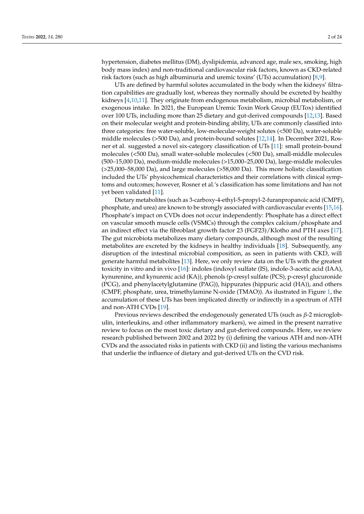hypertension, diabetes mellitus (DM), dyslipidemia, advanced age, male sex, smoking, high body mass index) and non-traditional cardiovascular risk factors, known as CKD-related risk factors (such as high albuminuria and uremic toxins' (UTs) accumulation) [8,9].

UTs are defined by harmful solutes accumulated in the body when the kidneys' filtration capabilities are gradually lost, whereas they normally should be excreted by healthy kidneys [4,10,11]. They originate from endogenous metabolism, microbial metabolism, or exogenous intake. In 2021, the European Uremic Toxin Work Group (EUTox) identified over 100 UTs, including more than 25 dietary and gut-derived compounds [12,13]. Based on their molecular weight and protein-binding ability, UTs are commonly classified into three categories: free water-soluble, low-molecular-weight solutes (<500 Da), water-soluble middle molecules (>500 Da), and protein-bound solutes [12,14]. In December 2021, Rosner et al. suggested a novel six-category classification of UTs [11]: small protein-bound molecules (<500 Da), small water-soluble molecules (<500 Da), small-middle molecules (500–15,000 Da), medium-middle molecules (>15,000–25,000 Da), large-middle molecules (>25,000–58,000 Da), and large molecules (>58,000 Da). This more holistic classification included the UTs' physicochemical characteristics and their correlations with clinical symptoms and outcomes; however, Rosner et al.'s classification has some limitations and has not yet been validated [11].

Dietary metabolites (such as 3-carboxy-4-ethyl-5-propyl-2-furanpropanoic acid (CMPF), phosphate, and urea) are known to be strongly associated with cardiovascular events [15,16]. Phosphate's impact on CVDs does not occur independently: Phosphate has a direct effect on vascular smooth muscle cells (VSMCs) through the complex calcium/phosphate and an indirect effect via the fibroblast growth factor 23 (FGF23)/Klotho and PTH axes [17]. The gut microbiota metabolizes many dietary compounds, although most of the resulting metabolites are excreted by the kidneys in healthy individuals [18]. Subsequently, any disruption of the intestinal microbial composition, as seen in patients with CKD, will generate harmful metabolites [13]. Here, we only review data on the UTs with the greatest toxicity in vitro and in vivo [16]: indoles (indoxyl sulfate (IS), indole-3-acetic acid (IAA), kynurenine, and kynurenic acid (KA)), phenols (p-cresyl sulfate (PCS), p-cresyl glucuronide (PCG), and phenylacetylglutamine (PAG)), hippurates (hippuric acid (HA)), and others (CMPF, phosphate, urea, trimethylamine N-oxide (TMAO)). As ilustrated in Figure 1, the accumulation of these UTs has been implicated directly or indirectly in a spectrum of ATH and non-ATH CVDs [19].

Previous reviews described the endogenously generated UTs (such as *β*-2 microglobulin, interleukins, and other inflammatory markers), we aimed in the present narrative review to focus on the most toxic dietary and gut-derived compounds. Here, we review research published between 2002 and 2022 by (i) defining the various ATH and non-ATH CVDs and the associated risks in patients with CKD (ii) and listing the various mechanisms that underlie the influence of dietary and gut-derived UTs on the CVD risk.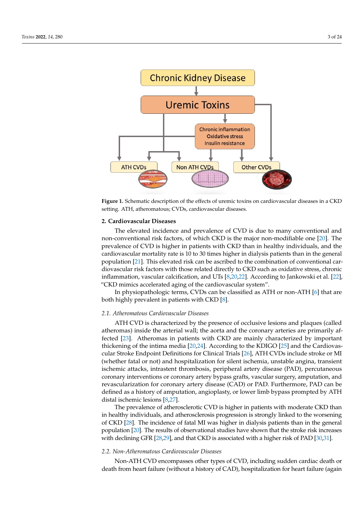



#### **2. Cardiovascular Diseases**

The elevated incidence and prevalence of CVD is due to many conventional and non-conventional risk factors, of which CKD is the major non-modifiable one [20]. The prevalence of CVD is higher in patients with CKD than in healthy individuals, and the cardiovascular mortality rate is 10 to 30 times higher in dialysis patients than in the general population [21]. This elevated risk can be ascribed to the combination of conventional cardiovascular risk factors with those related directly to CKD such as oxidative stress, chronic inflammation, vascular calcification, and UTs [8,20,22]. According to Jankowski et al. [22], "CKD mimics accelerated aging of the cardiovascular system".

In physiopathologic terms, CVDs can be classified as ATH or non-ATH [6] that are both highly prevalent in patients with CKD [8].

#### *2.1. Atheromatous Cardiovascular Diseases*

ATH CVD is characterized by the presence of occlusive lesions and plaques (called atheromas) inside the arterial wall; the aorta and the coronary arteries are primarily affected [23]. Atheromas in patients with CKD are mainly characterized by important thickening of the intima media [20,24]. According to the KDIGO [25] and the Cardiovascular Stroke Endpoint Definitions for Clinical Trials [26], ATH CVDs include stroke or MI (whether fatal or not) and hospitalization for silent ischemia, unstable angina, transient ischemic attacks, intrastent thrombosis, peripheral artery disease (PAD), percutaneous coronary interventions or coronary artery bypass grafts, vascular surgery, amputation, and revascularization for coronary artery disease (CAD) or PAD. Furthermore, PAD can be defined as a history of amputation, angioplasty, or lower limb bypass prompted by ATH distal ischemic lesions [8,27].

The prevalence of atherosclerotic CVD is higher in patients with moderate CKD than in healthy individuals, and atherosclerosis progression is strongly linked to the worsening of CKD [28]. The incidence of fatal MI was higher in dialysis patients than in the general population [20]. The results of observational studies have shown that the stroke risk increases with declining GFR [28,29], and that CKD is associated with a higher risk of PAD [30,31].

#### *2.2. Non-Atheromatous Cardiovascular Diseases*

Non-ATH CVD encompasses other types of CVD, including sudden cardiac death or death from heart failure (without a history of CAD), hospitalization for heart failure (again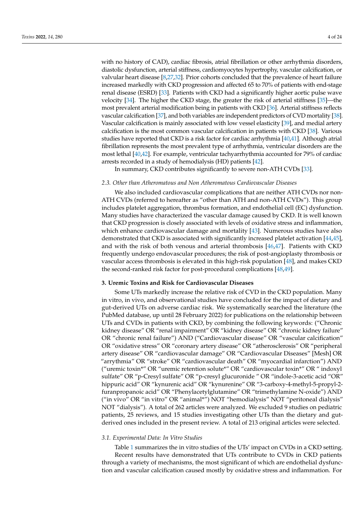with no history of CAD), cardiac fibrosis, atrial fibrillation or other arrhythmia disorders, diastolic dysfunction, arterial stiffness, cardiomyocytes hypertrophy, vascular calcification, or valvular heart disease [8,27,32]. Prior cohorts concluded that the prevalence of heart failure increased markedly with CKD progression and affected 65 to 70% of patients with end-stage renal disease (ESRD) [33]. Patients with CKD had a significantly higher aortic pulse wave velocity [34]. The higher the CKD stage, the greater the risk of arterial stiffness [35]—the most prevalent arterial modification being in patients with CKD [36]. Arterial stiffness reflects vascular calcification [37], and both variables are independent predictors of CVD mortality [38]. Vascular calcification is mainly associated with low vessel elasticity [39], and medial artery calcification is the most common vascular calcification in patients with CKD [38]. Various studies have reported that CKD is a risk factor for cardiac arrhythmia [40,41]. Although atrial fibrillation represents the most prevalent type of arrhythmia, ventricular disorders are the most lethal [40,42]. For example, ventricular tachyarrhythmia accounted for 79% of cardiac arrests recorded in a study of hemodialysis (HD) patients [42].

In summary, CKD contributes significantly to severe non-ATH CVDs [33].

#### *2.3. Other than Atheromatous and Non Atheromatous Cardiovascular Diseases*

We also included cardiovascular complications that are neither ATH CVDs nor non-ATH CVDs (referred to hereafter as "other than ATH and non-ATH CVDs"). This group includes platelet aggregation, thrombus formation, and endothelial cell (EC) dysfunction. Many studies have characterized the vascular damage caused by CKD. It is well known that CKD progression is closely associated with levels of oxidative stress and inflammation, which enhance cardiovascular damage and mortality [43]. Numerous studies have also demonstrated that CKD is associated with significantly increased platelet activation [44,45], and with the risk of both venous and arterial thrombosis [46,47]. Patients with CKD frequently undergo endovascular procedures; the risk of post-angioplasty thrombosis or vascular access thrombosis is elevated in this high-risk population [48], and makes CKD the second-ranked risk factor for post-procedural complications [48,49].

#### **3. Uremic Toxins and Risk for Cardiovascular Diseases**

Some UTs markedly increase the relative risk of CVD in the CKD population. Many in vitro, in vivo, and observational studies have concluded for the impact of dietary and gut-derived UTs on adverse cardiac risk. We systematically searched the literature (the PubMed database, up until 28 February 2022) for publications on the relationship between UTs and CVDs in patients with CKD, by combining the following keywords: ("Chronic kidney disease" OR "renal impairment" OR "kidney disease" OR "chronic kidney failure" OR "chronic renal failure") AND ("Cardiovascular disease" OR "vascular calcification" OR "oxidative stress" OR "coronary artery disease" OR "atherosclerosis" OR "peripheral artery disease" OR "cardiovascular damage" OR "Cardiovascular Diseases" [Mesh] OR "arrythmia" OR "stroke" OR "cardiovascular death" OR "myocardial infarction") AND ("uremic toxin\*" OR "uremic retention solute\*" OR "cardiovascular toxin\*" OR " indoxyl sulfate" OR "p-Cresyl sulfate" OR "p-cresyl glucuronide " OR "indole-3-acetic acid "OR" hippuric acid" OR "kynurenic acid" OR "kynurenine" OR "3-carboxy-4-methyl-5-propyl-2 furanpropanoic acid" OR "Phenylacetylglutamine" OR "trimethylamine N-oxide") AND ("in vivo" OR "in vitro" OR "animal\*") NOT "hemodialysis" NOT "peritoneal dialysis" NOT "dialysis"). A total of 262 articles were analyzed. We excluded 9 studies on pediatric patients, 25 reviews, and 15 studies investigating other UTs than the dietary and gutderived ones included in the present review. A total of 213 original articles were selected.

#### *3.1. Experimental Data: In Vitro Studies*

Table 1 summarizes the in vitro studies of the UTs' impact on CVDs in a CKD setting. Recent results have demonstrated that UTs contribute to CVDs in CKD patients through a variety of mechanisms, the most significant of which are endothelial dysfunction and vascular calcification caused mostly by oxidative stress and inflammation. For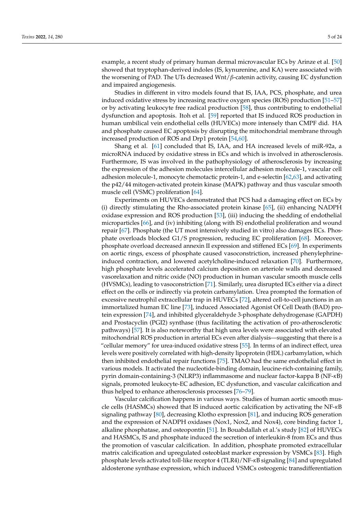example, a recent study of primary human dermal microvascular ECs by Arinze et al. [50] showed that tryptophan-derived indoles (IS, kynurenine, and KA) were associated with the worsening of PAD. The UTs decreased Wnt/*β*-catenin activity, causing EC dysfunction and impaired angiogenesis.

Studies in different in vitro models found that IS, IAA, PCS, phosphate, and urea induced oxidative stress by increasing reactive oxygen species (ROS) production [51–57] or by activating leukocyte free radical production [58], thus contributing to endothelial dysfunction and apoptosis. Itoh et al. [59] reported that IS induced ROS production in human umbilical vein endothelial cells (HUVECs) more intensely than CMPF did. HA and phosphate caused EC apoptosis by disrupting the mitochondrial membrane through increased production of ROS and Drp1 protein [54,60].

Shang et al. [61] concluded that IS, IAA, and HA increased levels of miR-92a, a microRNA induced by oxidative stress in ECs and which is involved in atherosclerosis. Furthermore, IS was involved in the pathophysiology of atherosclerosis by increasing the expression of the adhesion molecules intercellular adhesion molecule-1, vascular cell adhesion molecule-1, monocyte chemotactic protein-1, and e-selectin [62,63], and activating the p42/44 mitogen-activated protein kinase (MAPK) pathway and thus vascular smooth muscle cell (VSMC) proliferation [64].

Experiments on HUVECs demonstrated that PCS had a damaging effect on ECs by (i) directly stimulating the Rho-associated protein kinase [65], (ii) enhancing NADPH oxidase expression and ROS production [53], (iii) inducing the shedding of endothelial microparticles [66], and (iv) inhibiting (along with IS) endothelial proliferation and wound repair [67]. Phosphate (the UT most intensively studied in vitro) also damages ECs. Phosphate overloads blocked G1/S progression, reducing EC proliferation [68]. Moreover, phosphate overload decreased annexin II expression and stiffened ECs [69]. In experiments on aortic rings, excess of phosphate caused vasoconstriction, increased phenylephrineinduced contraction, and lowered acetylcholine-induced relaxation [70]. Furthermore, high phosphate levels accelerated calcium deposition on arteriole walls and decreased vasorelaxation and nitric oxide (NO) production in human vascular smooth muscle cells (HVSMCs), leading to vasoconstriction [71]. Similarly, urea disrupted ECs either via a direct effect on the cells or indirectly via protein carbamylation. Urea prompted the formation of excessive neutrophil extracellular trap in HUVECs [72], altered cell-to-cell junctions in an immortalized human EC line [73], induced Associated Agonist Of Cell Death (BAD) protein expression [74], and inhibited glyceraldehyde 3-phosphate dehydrogenase (GAPDH) and Prostacyclin (PGI2) synthase (thus facilitating the activation of pro-atherosclerotic pathways) [57]. It is also noteworthy that high urea levels were associated with elevated mitochondrial ROS production in arterial ECs even after dialysis—suggesting that there is a "cellular memory" for urea-induced oxidative stress [55]. In terms of an indirect effect, urea levels were positively correlated with high-density lipoprotein (HDL) carbamylation, which then inhibited endothelial repair functions [75]. TMAO had the same endothelial effect in various models. It activated the nucleotide-binding domain, leucine-rich-containing family, pyrin domain-containing-3 (NLRP3) inflammasome and nuclear factor-kappa B (NF-*κ*B) signals, promoted leukocyte-EC adhesion, EC dysfunction, and vascular calcification and thus helped to enhance atherosclerosis processes [76–79].

Vascular calcification happens in various ways. Studies of human aortic smooth muscle cells (HASMCs) showed that IS induced aortic calcification by activating the NF-*κ*B signaling pathway [80], decreasing Klotho expression [81], and inducing ROS generation and the expression of NADPH oxidases (Nox1, Nox2, and Nox4), core binding factor 1, alkaline phosphatase, and osteopontin [51]. In Bouabdallah et al.'s study [82] of HUVECs and HASMCs, IS and phosphate induced the secretion of interleukin-8 from ECs and thus the promotion of vascular calcification. In addition, phosphate promoted extracellular matrix calcification and upregulated osteoblast marker expression by VSMCs [83]. High phosphate levels activated toll-like receptor 4 (TLR4)/NF-*κ*B signaling [84] and upregulated aldosterone synthase expression, which induced VSMCs osteogenic transdifferentiation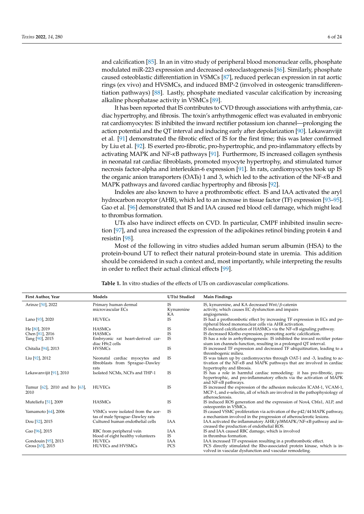and calcification [85]. In an in vitro study of peripheral blood mononuclear cells, phosphate modulated miR-223 expression and decreased osteoclastogenesis [86]. Similarly, phosphate caused osteoblastic differentiation in VSMCs [87], reduced perlecan expression in rat aortic rings (ex vivo) and HVSMCs, and induced BMP-2 (involved in osteogenic transdifferentiation pathways) [88]. Lastly, phosphate mediated vascular calcification by increasing alkaline phosphatase activity in VSMCs [89].

It has been reported that IS contributes to CVD through associations with arrhythmia, cardiac hypertrophy, and fibrosis. The toxin's arrhythmogenic effect was evaluated in embryonic rat cardiomyocytes: IS inhibited the inward rectifier potassium ion channel—prolonging the action potential and the QT interval and inducing early after depolarization [90]. Lekawanvijit et al. [91] demonstrated the fibrotic effect of IS for the first time; this was later confirmed by Liu et al. [92]. IS exerted pro-fibrotic, pro-hypertrophic, and pro-inflammatory effects by activating MAPK and NF-*κ*B pathways [91]. Furthermore, IS increased collagen synthesis in neonatal rat cardiac fibroblasts, promoted myocyte hypertrophy, and stimulated tumor necrosis factor-alpha and interleukin-6 expression [91]. In rats, cardiomyocytes took up IS the organic anion transporters (OATs) 1 and 3, which led to the activation of the NF-*κ*B and MAPK pathways and favored cardiac hypertrophy and fibrosis [92].

Indoles are also known to have a prothrombotic effect. IS and IAA activated the aryl hydrocarbon receptor (AHR), which led to an increase in tissue factor (TF) expression [93–95]. Gao et al. [96] demonstrated that IS and IAA caused red blood cell damage, which might lead to thrombus formation.

UTs also have indirect effects on CVD. In particular, CMPF inhibited insulin secretion [97], and urea increased the expression of the adipokines retinol binding protein 4 and resistin [98].

Most of the following in vitro studies added human serum albumin (HSA) to the protein-bound UT to reflect their natural protein-bound state in uremia. This addition should be considered in such a context and, most importantly, while interpreting the results in order to reflect their actual clinical effects [99].

**Table 1.** In vitro studies of the effects of UTs on cardiovascular complications.

| First Author, Year             | Models                                                               | UT(s) Studied | <b>Main Findings</b>                                                                                                                           |
|--------------------------------|----------------------------------------------------------------------|---------------|------------------------------------------------------------------------------------------------------------------------------------------------|
| Arinze [50], 2022              | Primary human dermal                                                 | <b>IS</b>     | IS, kynurenine, and KA decreased Wnt/ $\beta$ -catenin                                                                                         |
|                                | microvascular ECs                                                    | Kynurenine    | activity, which causes EC dysfunction and impairs                                                                                              |
|                                |                                                                      | KA            | angiogenesis.                                                                                                                                  |
| Lano [93], 2020                | <b>HUVECs</b>                                                        | <b>IS</b>     | IS had a prothrombotic effect by increasing TF expression in ECs and pe-<br>ripheral blood mononuclear cells via AHR activation.               |
| He [80], 2019                  | <b>HASMCs</b>                                                        | IS            | IS induced calcification of HASMCs via the $NF-\kappa B$ signaling pathway.                                                                    |
| Chen [81], 2016                | <b>HASMCs</b>                                                        | IS            | IS decreased Klotho expression, promoting aortic calcification.                                                                                |
| Tang [90], 2015                | Embryonic rat heart-derived car-                                     | <b>IS</b>     | IS has a role in arrhythmogenesis: IS inhibited the inward rectifier potas-                                                                    |
|                                | diac H9c2 cells                                                      |               | sium ion channels function, resulting in a prolonged QT interval.                                                                              |
| Chitalia [94], 2013            | <b>HVSMCs</b>                                                        | IS            | IS increased TF expression and decreased TF ubiquitination, leading to a<br>thrombogenic milieu.                                               |
| Liu [92], 2012                 | Neonatal cardiac myocytes and                                        | <b>IS</b>     | IS was taken up by cardiomyocytes through OAT-1 and -3, leading to ac-                                                                         |
|                                | fibroblasts from Sprague-Dawley                                      |               | tivation of the $NF-xB$ and $MAPK$ pathways that are involved in cardiac                                                                       |
|                                | rats                                                                 |               | hypertrophy and fibrosis.                                                                                                                      |
| Lekawanvijit [91], 2010        | Isolated NCMs, NCFs and THP-1                                        | <b>IS</b>     | IS has a role in harmful cardiac remodeling: it has pro-fibrotic, pro-                                                                         |
|                                |                                                                      |               | hypertrophic, and pro-inflammatory effects via the activation of MAPK<br>and $NF-\kappa B$ pathways.                                           |
| Tumur [62], 2010 and Ito [63], | <b>HUVECs</b>                                                        | IS            | IS increased the expression of the adhesion molecules ICAM-1, VCAM-1,                                                                          |
| 2010                           |                                                                      |               | MCP-1, and e-selectin, all of which are involved in the pathophysiology of<br>atherosclerosis.                                                 |
| Muteliefu [51], 2009           | <b>HASMCs</b>                                                        | <b>IS</b>     | IS induced ROS generation and the expression of Nox4, Cbfa1, ALP, and<br>osteopontin in VSMCs.                                                 |
| Yamamoto [64], 2006            | VSMCs were isolated from the aor-<br>tas of male Sprague-Dawley rats | <b>IS</b>     | IS caused VSMC proliferation via activation of the p42/44 MAPK pathway,<br>a mechanism involved in the progression of atherosclerotic lesions. |
| Dou [52], 2015                 | Cultured human endothelial cells                                     | <b>IAA</b>    | IAA activated the inflammatory AHR/p38MAPK/NF-KB pathway and in-                                                                               |
|                                |                                                                      |               | creased the production of endothelial ROS.                                                                                                     |
| Gao [96], 2015                 | RBC from peripheral vein                                             | <b>IAA</b>    | IS and IAA caused RBC damage, which is involved                                                                                                |
|                                | blood of eight healthy volunteers                                    | <b>IS</b>     | in thrombus formation.                                                                                                                         |
| Gondouin [95], 2013            | <b>HUVECs</b>                                                        | <b>IAA</b>    | IAA increased TF expression resulting in a prothrombotic effect.                                                                               |
| Gross [65], 2015               | HUVECs and HVSMCs                                                    | <b>PCS</b>    | PCS directly stimulated the Rho-associated protein kinase, which is in-<br>volved in vascular dysfunction and vascular remodeling.             |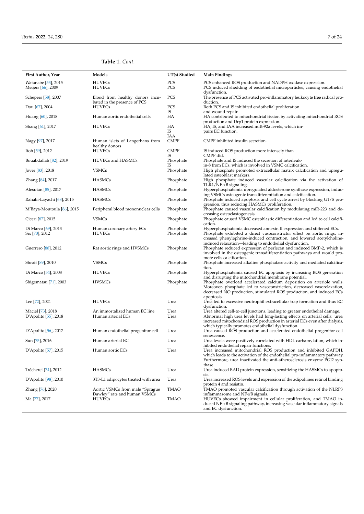## **Table 1.** *Cont.*

| First Author, Year                              | Models                                                          | UT(s) Studied          | <b>Main Findings</b>                                                                                                                                                                                                                                               |
|-------------------------------------------------|-----------------------------------------------------------------|------------------------|--------------------------------------------------------------------------------------------------------------------------------------------------------------------------------------------------------------------------------------------------------------------|
| Watanabe [53], 2015<br>Meijers [66], 2009       | <b>HUVECs</b><br><b>HUVECs</b>                                  | PCS<br>PCS             | PCS enhanced ROS production and NADPH oxidase expression.<br>PCS induced shedding of endothelial microparticles, causing endothelial                                                                                                                               |
| Schepers [58], 2007                             | Blood from healthy donors incu-<br>bated in the presence of PCS | PCS                    | dysfunction.<br>The presence of PCS activated pro-inflammatory leukocyte free radical pro-<br>duction.                                                                                                                                                             |
| Dou [67], 2004                                  | <b>HUVECs</b>                                                   | PCS<br>IS              | Both PCS and IS inhibited endothelial proliferation                                                                                                                                                                                                                |
| Huang [60], 2018                                | Human aortic endothelial cells                                  | HA                     | and wound repair.<br>HA contributed to mitochondrial fission by activating mitochondrial ROS                                                                                                                                                                       |
| Shang [61], 2017                                | <b>HUVECs</b>                                                   | HA<br>IS               | production and Drp1 protein expression.<br>HA, IS, and IAA increased miR-92a levels, which im-<br>pairs EC function.                                                                                                                                               |
| Nagy [97], 2017                                 | Human islets of Langerhans from<br>healthy donors               | IAA<br><b>CMPF</b>     | CMPF inhibited insulin secretion.                                                                                                                                                                                                                                  |
| Itoh [59], 2012                                 | <b>HUVECs</b>                                                   | <b>CMPF</b>            | IS induced ROS production more intensely than                                                                                                                                                                                                                      |
| Bouabdallah [82], 2019                          | HUVECs and HASMCs                                               | IS<br>Phosphate        | CMPF did.<br>Phosphate and IS induced the secretion of interleuk-                                                                                                                                                                                                  |
| Jover [83], 2018                                | <b>VSMCs</b>                                                    | IS<br>Phosphate        | in-8 from ECs, which is involved in VSMC calcification.<br>High phosphate promoted extracellular matrix calcification and upregu-<br>lated osteoblast markers.                                                                                                     |
| Zhang [84], 2017                                | <b>HASMCs</b>                                                   | Phosphate              | High phosphate induced vascular calcification via the activation of                                                                                                                                                                                                |
| Alesutan [85], 2017                             | <b>HASMCs</b>                                                   | Phosphate              | TLR4/NF- $\kappa$ B signaling.<br>Hyperphosphatemia upregulated aldosterone synthase expression, induc-                                                                                                                                                            |
| Rahabi-Layachi [68], 2015                       | <b>HASMCs</b>                                                   | Phosphate              | ing VSMCs osteogenic transdifferentiation and calcification.<br>Phosphate induced apoptosis and cell cycle arrest by blocking G1/S pro-                                                                                                                            |
| M'Baya-Moutoula [86], 2015                      | Peripheral blood mononuclear cells                              | Phosphate              | gression, thus reducing HASMCs proliferation.<br>Phosphate caused vascular calcification by modulating miR-223 and de-                                                                                                                                             |
| Ciceri [87], 2015                               | <b>VSMCs</b>                                                    | Phosphate              | creasing osteoclastogenesis.<br>Phosphate caused VSMC osteoblastic differentiation and led to cell calcifi-<br>cation.                                                                                                                                             |
| Di Marco [69], 2013<br>Six [70], 2012           | Human coronary artery ECs<br><b>HUVECs</b>                      | Phosphate<br>Phosphate | Hyperphosphatemia decreased annexin II expression and stiffened ECs.<br>Phosphate exhibited a direct vasoconstrictor effect on aortic rings, in-<br>creased phenylephrine-induced contraction, and lowered acetylcholine-                                          |
| Guerrero [88], 2012                             | Rat aortic rings and HVSMCs                                     | Phosphate              | induced relaxation—leading to endothelial dysfunction.<br>Phosphate reduced expression of perlecan and induced BMP-2, which is<br>involved in the osteogenic transdifferentiation pathways and would pro-                                                          |
| Shroff [89], 2010                               | <b>VSMCs</b>                                                    | Phosphate              | mote cells calcification.<br>Phosphate increased alkaline phosphatase activity and mediated calcifica-<br>tion.                                                                                                                                                    |
| Di Marco [54], 2008                             | <b>HUVECs</b>                                                   | Phosphate              | Hyperphosphatemia caused EC apoptosis by increasing ROS generation<br>and disrupting the mitochondrial membrane potential.                                                                                                                                         |
| Shigematsu [71], 2003                           | <b>HVSMCs</b>                                                   | Phosphate              | Phosphate overload accelerated calcium deposition on arteriole walls.<br>Moreover, phosphate led to vasoconstriction, decreased vasorelaxation,<br>decreased NO production, stimulated ROS production, and induced ECs                                             |
| Lee [72], 2021                                  | <b>HUVECs</b>                                                   | Urea                   | apoptosis.<br>Urea led to excessive neutrophil extracellular trap formation and thus EC                                                                                                                                                                            |
| Maciel [73], 2018<br>$D'$ Apolito $[55]$ , 2018 | An immortalized human EC line<br>Human arterial ECs             | Urea<br>Urea           | dysfunction.<br>Urea altered cell-to-cell junctions, leading to greater endothelial damage.<br>Abnormal high urea levels had long-lasting effects on arterial cells: urea<br>increased mitochondrial ROS production in arterial ECs even after dialysis,           |
| $D'$ Apolito [56], 2017                         | Human endothelial progenitor cell                               | Urea                   | which typically promotes endothelial dysfunction.<br>Urea caused ROS production and accelerated endothelial progenitor cell<br>senescence.                                                                                                                         |
| Sun [75], 2016                                  | Human arterial EC                                               | Urea                   | Urea levels were positively correlated with HDL carbamylation, which in-                                                                                                                                                                                           |
| D'Apolito [57], 2015                            | Human aortic ECs                                                | Urea                   | hibited endothelial repair functions.<br>Urea increased mitochondrial ROS production and inhibited GAPDH,<br>which leads to the activation of the endothelial pro-inflammatory pathway.<br>Furthermore, urea inactivated the anti-atherosclerosis enzyme PGI2 syn- |
| Trécherel [74], 2012                            | <b>HASMCs</b>                                                   | Urea                   | thase.<br>Urea induced BAD protein expression, sensitizing the HASMCs to apopto-                                                                                                                                                                                   |
| $D'$ Apolito $[98]$ , 2010                      | 3T3-L1 adipocytes treated with urea                             | Urea                   | sis.<br>Urea increased ROS levels and expression of the adipokines retinol binding                                                                                                                                                                                 |
| Zhang [76], 2020                                | Aortic VSMCs from male "Sprague                                 | <b>TMAO</b>            | protein 4 and resistin.<br>TMAO promoted vascular calcification through activation of the NLRP3                                                                                                                                                                    |
| Ma [77], 2017                                   | Dawley" rats and human VSMCs<br><b>HUVECs</b>                   | TMAO                   | inflammasome and $NF-\kappa B$ signals.<br>HUVECs showed impairment in cellular proliferation, and TMAO in-<br>duced NF-xB signaling pathway, increasing vascular inflammatory signals<br>and EC dysfunction.                                                      |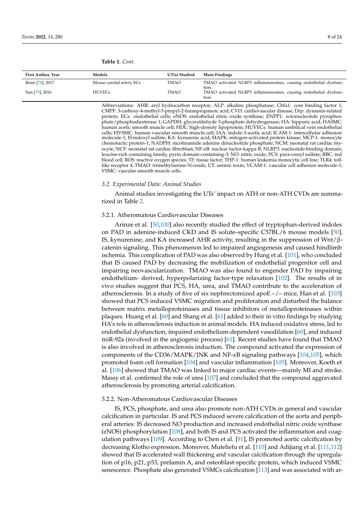| First Author, Year | Models                   | UT(s) Studied | <b>Main Findings</b>                                                      |
|--------------------|--------------------------|---------------|---------------------------------------------------------------------------|
| Boini [78], 2017   | Mouse carotid artery ECs | TMAO          | TMAO activated NLRP3 inflammasomes, causing endothelial dysfunc-<br>tion. |
| Sun [79], 2016     | <b>HUVECs</b>            | <b>TMAO</b>   | TMAO activated NLRP3 inflammasomes, causing endothelial dysfunc-<br>tion. |

**Table 1.** *Cont.*

Abbreviations: AHR: aryl hydrocarbon receptor; ALP: alkaline phosphatase; Cbfa1: core binding factor 1; CMPF: 3-carboxy-4-methyl-5-propyl-2-furanpropanoic acid; CVD: cardiovascular disease; Drp: dynamin-related protein; ECs: endothelial cells; eNOS: endothelial nitric oxide synthase; ENPP1: ectonucleotide pyrophosphate/phosphodiesterase 1; GAPDH: glyceraldehyde 3-phosphate dehydrogenase; HA: hippuric acid; HASMC: human aortic smooth muscle cell; HDL: high-density lipoprotein; HUVECs: human umbilical vein endothelial cells; HVSMC: human vascular smooth muscle cell; IAA: indole-3-acetic acid; ICAM-1: intercellular adhesion molecule-1; IS:indoxyl sulfate; KA: kynurenic acid; MAPK: mitogen-activated protein kinase; MCP-1: monocyte chemotactic protein-1; NADPH: nicotinamide adenine dinucleotide phosphate; NCM: neonatal rat cardiac myocyte; NCF: neonatal rat cardiac fibroblast; NF-*κ*B: nuclear factor-kappa B; NLRP3: nucleotide-binding domain, leucine-rich containing family, pyrin domain-containing-3; NO: nitric oxide; PCS: para-cresyl sulfate; RBC: red blood cell; ROS: reactive oxygen species; TF: tissue factor; THP-1: human leukemia monocytic cell line; TLR4: tolllike receptor 4; TMAO: trimethylamine-N-oxide; UT: uremic toxin; VCAM-1: vascular cell adhesion molecule-1; VSMC: vascular smooth muscle cells.

#### *3.2. Experimental Data: Animal Studies*

Animal studies investigating the UTs' impact on ATH or non-ATH CVDs are summarized in Table 2.

#### 3.2.1. Atheromatous Cardiovascular Diseases

Arinze et al. [50,100] also recently studied the effect of tryptophan-derived indoles on PAD in adenine-induced CKD and IS solute–specific C57BL/6 mouse models [50]. IS, kynurenine, and KA increased AHR activity, resulting in the suppression of Wnt/βcatenin signaling. This phenomenon led to impaired angiogenesis and caused hindlimb ischemia. This complication of PAD was also observed by Hung et al. [101], who concluded that IS caused PAD by decreasing the mobilization of endothelial progenitor cell and impairing neovascularization. TMAO was also found to engender PAD by impairing endothelium- derived, hyperpolarizing factor-type relaxation [102]. The results of in vivo studies suggest that PCS, HA, urea, and TMAO contribute to the acceleration of atherosclerosis. In a study of five of six nephrectomized apo $E - / -$  mice, Han et al. [103] showed that PCS induced VSMC migration and proliferation and disturbed the balance between matrix metalloproteinases and tissue inhibitors of metalloproteinases within plaques. Huang et al. [60] and Shang et al. [61] added to their in vitro findings by studying HA's role in atherosclerosis induction in animal models. HA induced oxidative stress, led to endothelial dysfunction, impaired endothelium-dependent vasodilation [60], and induced miR-92a (involved in the angiogenic process) [61]. Recent studies have found that TMAO is also involved in atherosclerosis induction. The compound activated the expression of components of the CD36/MAPK/JNK and NF-*κ*B signaling pathways [104,105], which promoted foam cell formation [104] and vascular inflammation [105]. Moreover, Koeth et al. [106] showed that TMAO was linked to major cardiac events—mainly MI and stroke. Massy et al. confirmed the role of urea [107] and concluded that the compound aggravated atherosclerosis by promoting arterial calcification.

#### 3.2.2. Non-Atheromatous Cardiovascular Diseases

IS, PCS, phosphate, and urea also promote non-ATH CVDs in general and vascular calcification in particular. IS and PCS induced severe calcification of the aorta and peripheral arteries: IS decreased NO production and increased endothelial nitric oxide synthase (eNOS) phosphorylation [108], and both IS and PCS activated the inflammation and coagulation pathways [109]. According to Chen et al. [81], IS promoted aortic calcification by decreasing Klotho expression. Moreover, Muteliefu et al. [110] and Adijiang et al. [111,112] showed that IS accelerated wall thickening and vascular calcification through the upregulation of p16, p21, p53, prelamin A, and osteoblast-specific protein, which induced VSMC senescence. Phosphate also generated VSMCs calcification [113] and was associated with ar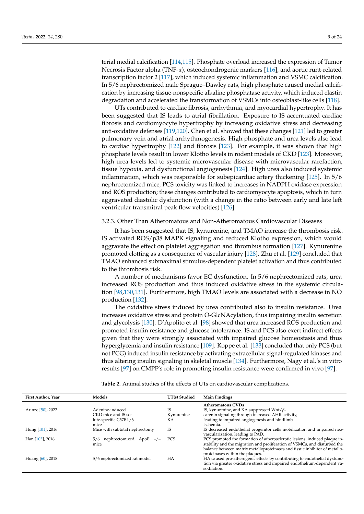terial medial calcification [114,115]. Phosphate overload increased the expression of Tumor Necrosis Factor alpha (TNF-*α*), osteochondrogenic markers [116], and aortic runt-related transcription factor 2 [117], which induced systemic inflammation and VSMC calcification. In 5/6 nephrectomized male Sprague–Dawley rats, high phosphate caused medial calcification by increasing tissue-nonspecific alkaline phosphatase activity, which induced elastin degradation and accelerated the transformation of VSMCs into osteoblast-like cells [118].

UTs contributed to cardiac fibrosis, arrhythmia, and myocardial hypertrophy. It has been suggested that IS leads to atrial fibrillation. Exposure to IS accentuated cardiac fibrosis and cardiomyocyte hypertrophy by increasing oxidative stress and decreasing anti-oxidative defenses [119,120]. Chen et al. showed that these changes [121] led to greater pulmonary vein and atrial arrhythmogenesis. High phosphate and urea levels also lead to cardiac hypertrophy [122] and fibrosis [123]. For example, it was shown that high phosphate levels result in lower Klotho levels in rodent models of CKD [123]. Moreover, high urea levels led to systemic microvascular disease with microvascular rarefaction, tissue hypoxia, and dysfunctional angiogenesis [124]. High urea also induced systemic inflammation, which was responsible for subepicardiac artery thickening [125]. In 5/6 nephrectomized mice, PCS toxicity was linked to increases in NADPH oxidase expression and ROS production; these changes contributed to cardiomyocyte apoptosis, which in turn aggravated diastolic dysfunction (with a change in the ratio between early and late left ventricular transmitral peak flow velocities) [126].

### 3.2.3. Other Than Atheromatous and Non-Atheromatous Cardiovascular Diseases

It has been suggested that IS, kynurenine, and TMAO increase the thrombosis risk. IS activated ROS/p38 MAPK signaling and reduced Klotho expression, which would aggravate the effect on platelet aggregation and thrombus formation [127]. Kynurenine promoted clotting as a consequence of vascular injury [128]. Zhu et al. [129] concluded that TMAO enhanced submaximal stimulus-dependent platelet activation and thus contributed to the thrombosis risk.

A number of mechanisms favor EC dysfunction. In 5/6 nephrectomized rats, urea increased ROS production and thus induced oxidative stress in the systemic circulation [98,130,131]. Furthermore, high TMAO levels are associated with a decrease in NO production [132].

The oxidative stress induced by urea contributed also to insulin resistance. Urea increases oxidative stress and protein O-GlcNAcylation, thus impairing insulin secretion and glycolysis [130]. D'Apolito et al. [98] showed that urea increased ROS production and promoted insulin resistance and glucose intolerance. IS and PCS also exert indirect effects given that they were strongly associated with impaired glucose homeostasis and thus hyperglycemia and insulin resistance [109]. Koppe et al. [133] concluded that only PCS (but not PCG) induced insulin resistance by activating extracellular signal-regulated kinases and thus altering insulin signaling in skeletal muscle [134]. Furthermore, Nagy et al.'s in vitro results [97] on CMPF's role in promoting insulin resistance were confirmed in vivo [97].

**Table 2.** Animal studies of the effects of UTs on cardiovascular complications.

| First Author, Year | Models                                   | UT(s) Studied | <b>Main Findings</b>                                                                                                                                                                                                                                                    |
|--------------------|------------------------------------------|---------------|-------------------------------------------------------------------------------------------------------------------------------------------------------------------------------------------------------------------------------------------------------------------------|
|                    |                                          |               | Atheromatous CVDs                                                                                                                                                                                                                                                       |
| Arinze [50], 2022  | Adenine-induced                          | IS            | IS, kynurenine, and KA suppressed Wnt/ $\beta$ -                                                                                                                                                                                                                        |
|                    | CKD mice and IS so-                      | Kynurenine    | catenin signaling through increased AHR activity,                                                                                                                                                                                                                       |
|                    | lute-specific C57BL/6                    | KA            | leading to impaired angiogenesis and hindlimb                                                                                                                                                                                                                           |
|                    | mice                                     |               | ischemia.                                                                                                                                                                                                                                                               |
| Hung [101], 2016   | Mice with subtotal nephrectomy           | IS            | IS decreased endothelial progenitor cells mobilization and impaired neo-<br>vascularization, leading to PAD.                                                                                                                                                            |
| Han [103], 2016    | nephrectomized $ApoE$ -/-<br>5/6<br>mice | PCS           | PCS promoted the formation of atherosclerotic lesions, induced plaque in-<br>stability and the migration and proliferation of VSMCs, and disturbed the<br>balance between matrix metalloproteinases and tissue inhibitor of metallo-<br>proteinases within the plaques. |
| Huang [60], 2018   | 5/6 nephrectomized rat model             | HA            | HA caused pro-atherogenic effects by contributing to endothelial dysfunc-<br>tion via greater oxidative stress and impaired endothelium-dependent va-<br>sodilation.                                                                                                    |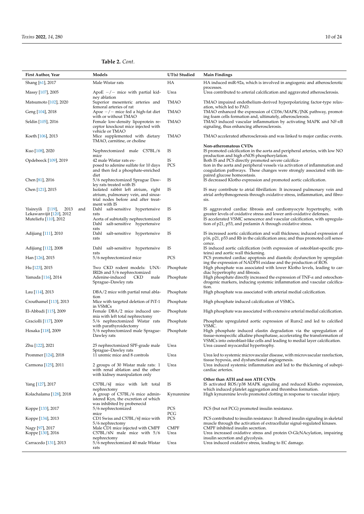## **Table 2.** *Cont.*

| First Author, Year                                                                    | Models                                                                                                                          | UT(s) Studied       | <b>Main Findings</b>                                                                                                                                                                                                                       |
|---------------------------------------------------------------------------------------|---------------------------------------------------------------------------------------------------------------------------------|---------------------|--------------------------------------------------------------------------------------------------------------------------------------------------------------------------------------------------------------------------------------------|
| Shang [61], 2017                                                                      | Male Wistar rats                                                                                                                | HA                  | HA induced miR-92a, which is involved in angiogenic and atherosclerotic                                                                                                                                                                    |
| Massy [107], 2005                                                                     | ApoE $-/-$ mice with partial kid-                                                                                               | Urea                | processes.<br>Urea contributed to arterial calcification and aggravated atherosclerosis.                                                                                                                                                   |
| Matsumoto [102], 2020                                                                 | ney ablation<br>Superior mesenteric arteries and                                                                                | <b>TMAO</b>         | TMAO impaired endothelium-derived hyperpolarizing factor-type relax-                                                                                                                                                                       |
| Geng [104], 2018                                                                      | femoral arteries of rat<br>Apoe $-/-$ mice fed a high-fat diet                                                                  | <b>TMAO</b>         | ation, which led to PAD.<br>TMAO enhanced the expression of CD36/MAPK/JNK pathway, promot-                                                                                                                                                 |
| Seldin [105], 2016                                                                    | with or without TMAO<br>Female low-density lipoprotein re-<br>ceptor knockout mice injected with                                | <b>TMAO</b>         | ing foam cells formation and, ultimately, atherosclerosis.<br>TMAO induced vascular inflammation by activating MAPK and NF-KB<br>signaling, thus enhancing atherosclerosis.                                                                |
| Koeth [106], 2013                                                                     | vehicle or TMAO<br>Mice supplemented with dietary<br>TMAO, carnitine, or choline                                                | <b>TMAO</b>         | TMAO accelerated atherosclerosis and was linked to major cardiac events.                                                                                                                                                                   |
| Kuo [108], 2020                                                                       | Nephrectomized male C57BL/6<br>mice                                                                                             | IS                  | Non-atheromatous CVDs<br>IS promoted calcification in the aorta and peripheral arteries, with low NO<br>production and high eNOS phosphorylation.                                                                                          |
| Opdebeeck [109], 2019                                                                 | 42 male Wistar rats ex-<br>posed to adenine sulfate for 10 days<br>and then fed a phosphate-enriched<br>diet                    | IS<br>PCS           | Both IS and PCS directly promoted severe calcifica-<br>tion in the aorta and peripheral vessels via activation of inflammation and<br>coagulation pathways. These changes were strongly associated with im-<br>paired glucose homeostasis. |
| Chen [81], 2016                                                                       | 5/6 nephrectomized Sprague Daw-<br>ley rats treated with IS                                                                     | IS                  | IS decreased Klotho expression and promoted aortic calcification.                                                                                                                                                                          |
| Chen [121], 2015                                                                      | Isolated rabbit left atrium, right<br>atrium, pulmonary vein, and sinoa-<br>trial nodes before and after treat-<br>ment with IS | IS                  | IS may contribute to atrial fibrillation: It increased pulmonary vein and<br>atrial arrhythmogenesis through oxidative stress, inflammation, and fibro-<br>sis.                                                                            |
| Yisireyili [119],<br>2013<br>and<br>Lekawanvijit [120], 2012<br>Muteliefu [110], 2012 | Dahl salt-sensitive hypertensive<br>rats<br>Aorta of subtotally nephrectomized                                                  | IS<br>IS            | IS aggravated cardiac fibrosis and cardiomyocyte hypertrophy, with<br>greater levels of oxidative stress and lower anti-oxidative defenses.<br>IS accelerated VSMC senescence and vascular calcification, with upregula-                   |
| Adijiang [111], 2010                                                                  | Dahl salt-sensitive hypertensive<br>rats<br>Dahl salt-sensitive hypertensive<br>rats                                            | IS                  | tion of p21, p53, and prelamin A through oxidative stress.<br>IS increased aortic calcification and wall thickness; induced expression of<br>p16, p21, p53 and Rb in the calcification area; and thus promoted cell senes-                 |
| Adijiang [112], 2008                                                                  | Dahl salt-sensitive hypertensive                                                                                                | IS                  | cence.<br>IS induced aortic calcification (with expression of osteoblast-specific pro-                                                                                                                                                     |
| Han [126], 2015                                                                       | rats<br>5/6 nephrectomized mice                                                                                                 | PCS                 | teins) and aortic wall thickening.<br>PCS promoted cardiac apoptosis and diastolic dysfunction by upregulat-                                                                                                                               |
| Hu [123], 2015                                                                        | Two CKD rodent models: UNX-                                                                                                     | Phosphate           | ing the expression of NADPH oxidase and the production of ROS.<br>High phosphate was associated with lower Klotho levels, leading to car-                                                                                                  |
| Yamada [116], 2014                                                                    | IRI26 and 5/6 nephrectomized<br>Adenine-induced<br>CKD<br>male                                                                  | Phosphate           | diac hypertrophy and fibrosis.<br>High phosphate directly increased the expression of $TNF-\alpha$ and osteochon-                                                                                                                          |
|                                                                                       | Sprague–Dawley rats                                                                                                             |                     | drogenic markers, inducing systemic inflammation and vascular calcifica-<br>tion.                                                                                                                                                          |
| Lau [114], 2013                                                                       | DBA/2 mice with partial renal abla-<br>tion                                                                                     | Phosphate           | High phosphate was associated with arterial medial calcification.                                                                                                                                                                          |
| Crouthamel [113], 2013                                                                | Mice with targeted deletion of PiT-1<br>in VSMCs                                                                                | Phosphate           | High phosphate induced calcification of VSMCs.                                                                                                                                                                                             |
| El-Abbadi [115], 2009                                                                 | Female DBA/2 mice induced ure-<br>mia with left total nephrectomy                                                               | Phosphate           | High phosphate was associated with extensive arterial medial calcification.                                                                                                                                                                |
| Graciolli [117], 2009                                                                 | 5/6 nephrectomized Wistar rats<br>with parathyroidectomy                                                                        | Phosphate           | Phosphate upregulated aortic expression of Runx2 and led to calcified<br>VSMC.                                                                                                                                                             |
| Hosaka [118], 2009                                                                    | 5/6 nephrectomized male Sprague-<br>Dawley rats                                                                                 | Phosphate           | High phosphate induced elastin degradation via the upregulation of<br>tissue-nonspecific alkaline phosphatase, accelerating the transformation of<br>VSMCs into osteoblast-like cells and leading to medial layer calcification.           |
| Zhu [122], 2021                                                                       | 25 nephrectomized SPF-grade male<br>Sprague-Dawley rats                                                                         | Urea                | Urea caused myocardial hypertrophy.                                                                                                                                                                                                        |
| Prommer [124], 2018                                                                   | 11 uremic mice and 8 controls                                                                                                   | Urea                | Urea led to systemic microvascular disease, with microvascular rarefaction,<br>tissue hypoxia, and dysfunctional angiogenesis.                                                                                                             |
| Carmona [125], 2011                                                                   | 2 groups of 30 Wistar male rats: 1<br>with renal ablation and the other<br>with kidney manipulation only                        | Urea                | Urea induced systemic inflammation and led to the thickening of subepi-<br>cardiac arteries.                                                                                                                                               |
| Yang [127], 2017                                                                      | C57BL/6J mice with left total                                                                                                   | IS                  | Other than ATH and non ATH CVDs<br>IS activated ROS/p38 MAPK signaling and reduced Klotho expression,                                                                                                                                      |
| Kolachalama [128], 2018                                                               | nephrectomy<br>A group of C57BL/6 mice admin-<br>istered Kyn, the excretion of which                                            | Kynurenine          | which induced platelet aggregation and thrombus formation.<br>High kynurenine levels promoted clotting in response to vascular injury.                                                                                                     |
| Koppe [133], 2017                                                                     | was inhibited by probenecid<br>5/6 nephrectomized                                                                               | PCS<br>PCG          | PCS (but not PCG) promoted insulin resistance.                                                                                                                                                                                             |
| Koppe [134], 2013                                                                     | mice<br>CD1 Swiss and C57BL/6J mice with<br>5/6 nephrectomy                                                                     | PCS                 | PCS contributed to insulin resistance: It altered insulin signaling in skeletal<br>muscle through the activation of extracellular signal-regulated kinases.                                                                                |
| Nagy [97], 2017<br>Koppe [130], 2016                                                  | Male CD1 mice injected with CMPF<br>$C57BL/6N$ male mice with $5/6$                                                             | <b>CMPF</b><br>Urea | CMPF inhibited insulin secretion.<br>Urea increased oxidative stress and protein O-GlcNAcylation, impairing                                                                                                                                |
| Carracedo [131], 2013                                                                 | nephrectomy<br>5/6 nephrectomized 40 male Wistar<br>rats                                                                        | Urea                | insulin secretion and glycolysis.<br>Urea induced oxidative stress, leading to EC damage.                                                                                                                                                  |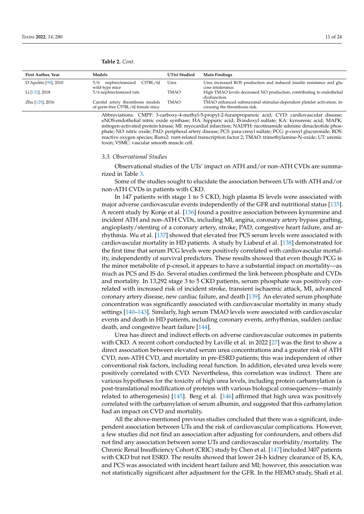| First Author, Year          | Models                                                                | UT(s) Studied | <b>Main Findings</b>                                                                                  |
|-----------------------------|-----------------------------------------------------------------------|---------------|-------------------------------------------------------------------------------------------------------|
| $D'$ Apolito [ $98$ ], 2010 | 5/6 nephrectomized C57BL/6J<br>wild-type mice                         | Urea          | Urea increased ROS production and induced insulin resistance and glu-<br>cose intolerance.            |
| Li [132], 2018              | 5/6 nephrectomized rats                                               | <b>TMAO</b>   | High TMAO levels decreased NO production, contributing to endothelial<br>dysfunction.                 |
| Zhu [129], 2016             | Carotid artery thrombosis models<br>of germ-free C57BL/6J female mice | TMAO          | TMAO enhanced submaximal stimulus-dependent platelet activation, in-<br>creasing the thrombosis risk. |

Abbreviations: CMPF: 3-carboxy-4-methyl-5-propyl-2-furanpropanoic acid; CVD: cardiovascular disease; eNOS:endothelial nitric oxide synthase; HA: hippuric acid; IS:indoxyl sulfate; KA: kynurenic acid; MAPK: mitogen-activated protein kinase; MI: myocardial infarction; NADPH: nicotinamide adenine dinucleotide phosphate; NO: nitric oxide; PAD: peripheral artery disease; PCS: para-cresyl sulfate; PCG: p-cresyl glucuronide; ROS: reactive oxygen species; Runx2: runt-related transcription factor 2; TMAO: trimethylamine-N-oxide; UT: uremic toxin; VSMC: vascular smooth muscle cell.

#### *3.3. Observational Studies*

Observational studies of the UTs' impact on ATH and/or non-ATH CVDs are summarized in Table 3.

Some of the studies sought to elucidate the association between UTs with ATH and/or non-ATH CVDs in patients with CKD.

In 147 patients with stage 1 to 5 CKD, high plasma IS levels were associated with major adverse cardiovascular events independently of the GFR and nutritional status [135]. A recent study by Konje et al. [136] found a positive association between kynurenine and incident ATH and non-ATH CVDs, including MI, angina, coronary artery bypass grafting, angioplasty/stenting of a coronary artery, stroke, PAD, congestive heart failure, and arrhythmia. Wu et al. [137] showed that elevated free PCS serum levels were associated with cardiovascular mortality in HD patients. A study by Liabeuf et al. [138] demonstrated for the first time that serum PCG levels were positively correlated with cardiovascular mortality, independently of survival predictors. These results showed that even though PCG is the minor metabolite of p-cresol, it appears to have a substantial impact on mortality—as much as PCS and IS do. Several studies confirmed the link between phosphate and CVDs and mortality. In 13,292 stage 3 to 5 CKD patients, serum phosphate was positively correlated with increased risk of incident stroke, transient ischaemic attack, MI, advanced coronary artery disease, new cardiac failure, and death [139]. An elevated serum phosphate concentration was significantly associated with cardiovascular mortality in many study settings [140–143]. Similarly, high serum TMAO levels were associated with cardiovascular events and death in HD patients, including coronary events, arrhythmias, sudden cardiac death, and congestive heart failure [144].

Urea has direct and indirect effects on adverse cardiovascular outcomes in patients with CKD. A recent cohort conducted by Laville et al. in 2022 [27] was the first to show a direct association between elevated serum urea concentrations and a greater risk of ATH CVD, non-ATH CVD, and mortality in pre-ESRD patients; this was independent of other conventional risk factors, including renal function. In addition, elevated urea levels were positively correlated with CVD. Nevertheless, this correlation was indirect. There are various hypotheses for the toxicity of high urea levels, including protein carbamylation (a post-translational modification of proteins with various biological consequences—mainly related to atherogenesis) [145]. Berg et al. [146] affirmed that high urea was positively correlated with the carbamylation of serum albumin, and suggested that this carbamylation had an impact on CVD and mortality.

All the above-mentioned previous studies concluded that there was a significant, independent association between UTs and the risk of cardiovascular complications. However, a few studies did not find an association after adjusting for confounders, and others did not find any association between some UTs and cardiovascular morbidity/mortality. The Chronic Renal Insufficiency Cohort (CRIC) study by Chen et al. [147] included 3407 patients with CKD but not ESRD. The results showed that lower 24-h kidney clearance of IS, KA, and PCS was associated with incident heart failure and MI; however, this association was not statistically significant after adjustment for the GFR. In the HEMO study, Shafi et al.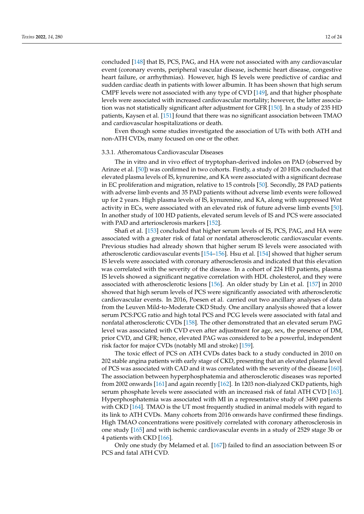concluded [148] that IS, PCS, PAG, and HA were not associated with any cardiovascular event (coronary events, peripheral vascular disease, ischemic heart disease, congestive heart failure, or arrhythmias). However, high IS levels were predictive of cardiac and sudden cardiac death in patients with lower albumin. It has been shown that high serum CMPF levels were not associated with any type of CVD [149], and that higher phosphate levels were associated with increased cardiovascular mortality; however, the latter association was not statistically significant after adjustment for GFR [150]. In a study of 235 HD patients, Kaysen et al. [151] found that there was no significant association between TMAO and cardiovascular hospitalizations or death.

Even though some studies investigated the association of UTs with both ATH and non-ATH CVDs, many focused on one or the other.

#### 3.3.1. Atheromatous Cardiovascular Diseases

The in vitro and in vivo effect of tryptophan-derived indoles on PAD (observed by Arinze et al. [50]) was confirmed in two cohorts. Firstly, a study of 20 HDs concluded that elevated plasma levels of IS, kynurenine, and KA were associated with a significant decrease in EC proliferation and migration, relative to 15 controls [50]. Secondly, 28 PAD patients with adverse limb events and 35 PAD patients without adverse limb events were followed up for 2 years. High plasma levels of IS, kynurenine, and KA, along with suppressed Wnt activity in ECs, were associated with an elevated risk of future adverse limb events [50]. In another study of 100 HD patients, elevated serum levels of IS and PCS were associated with PAD and arteriosclerosis markers [152].

Shafi et al. [153] concluded that higher serum levels of IS, PCS, PAG, and HA were associated with a greater risk of fatal or nonfatal atherosclerotic cardiovascular events. Previous studies had already shown that higher serum IS levels were associated with atherosclerotic cardiovascular events [154–156]. Hsu et al. [154] showed that higher serum IS levels were associated with coronary atherosclerosis and indicated that this elevation was correlated with the severity of the disease. In a cohort of 224 HD patients, plasma IS levels showed a significant negative correlation with HDL cholesterol, and they were associated with atherosclerotic lesions [156]. An older study by Lin et al. [157] in 2010 showed that high serum levels of PCS were significantly associated with atherosclerotic cardiovascular events. In 2016, Poesen et al. carried out two ancillary analyses of data from the Leuven Mild-to-Moderate CKD Study. One ancillary analysis showed that a lower serum PCS:PCG ratio and high total PCS and PCG levels were associated with fatal and nonfatal atherosclerotic CVDs [158]. The other demonstrated that an elevated serum PAG level was associated with CVD even after adjustment for age, sex, the presence of DM, prior CVD, and GFR; hence, elevated PAG was considered to be a powerful, independent risk factor for major CVDs (notably MI and stroke) [159].

The toxic effect of PCS on ATH CVDs dates back to a study conducted in 2010 on 202 stable angina patients with early stage of CKD, presenting that an elevated plasma level of PCS was associated with CAD and it was correlated with the severity of the disease [160]. The association between hyperphosphatemia and atherosclerotic diseases was reported from 2002 onwards [161] and again recently [162]. In 1203 non-dialyzed CKD patients, high serum phosphate levels were associated with an increased risk of fatal ATH CVD [163]. Hyperphosphatemia was associated with MI in a representative study of 3490 patients with CKD [164]. TMAO is the UT most frequently studied in animal models with regard to its link to ATH CVDs. Many cohorts from 2016 onwards have confirmed these findings. High TMAO concentrations were positively correlated with coronary atherosclerosis in one study [165] and with ischemic cardiovascular events in a study of 2529 stage 3b or 4 patients with CKD [166].

Only one study (by Melamed et al. [167]) failed to find an association between IS or PCS and fatal ATH CVD.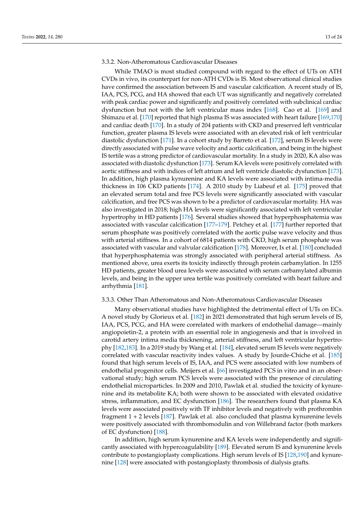#### 3.3.2. Non-Atheromatous Cardiovascular Diseases

While TMAO is most studied compound with regard to the effect of UTs on ATH CVDs in vivo, its counterpart for non-ATH CVDs is IS. Most observational clinical studies have confirmed the association between IS and vascular calcification. A recent study of IS, IAA, PCS, PCG, and HA showed that each UT was significantly and negatively correlated with peak cardiac power and significantly and positively correlated with subclinical cardiac dysfunction but not with the left ventricular mass index [168]. Cao et al. [169] and Shimazu et al. [170] reported that high plasma IS was associated with heart failure [169,170] and cardiac death [170]. In a study of 204 patients with CKD and preserved left ventricular function, greater plasma IS levels were associated with an elevated risk of left ventricular diastolic dysfunction [171]. In a cohort study by Barreto et al. [172], serum IS levels were directly associated with pulse wave velocity and aortic calcification, and being in the highest IS tertile was a strong predictor of cardiovascular mortality. In a study in 2020, KA also was associated with diastolic dysfunction [173]. Serum KA levels were positively correlated with aortic stiffness and with indices of left atrium and left ventricle diastolic dysfunction [173]. In addition, high plasma kynurenine and KA levels were associated with intima-media thickness in 106 CKD patients [174]. A 2010 study by Liabeuf et al. [175] proved that an elevated serum total and free PCS levels were significantly associated with vascular calcification, and free PCS was shown to be a predictor of cardiovascular mortality. HA was also investigated in 2018; high HA levels were significantly associated with left ventricular hypertrophy in HD patients [176]. Several studies showed that hyperphosphatemia was associated with vascular calcification [177–179]. Petchey et al. [177] further reported that serum phosphate was positively correlated with the aortic pulse wave velocity and thus with arterial stiffness. In a cohort of 6814 patients with CKD, high serum phosphate was associated with vascular and valvular calcification [178]. Moreover, Ix et al. [180] concluded that hyperphosphatemia was strongly associated with peripheral arterial stiffness. As mentioned above, urea exerts its toxicity indirectly through protein carbamylation. In 1255 HD patients, greater blood urea levels were associated with serum carbamylated albumin levels, and being in the upper urea tertile was positively correlated with heart failure and arrhythmia [181].

#### 3.3.3. Other Than Atheromatous and Non-Atheromatous Cardiovascular Diseases

Many observational studies have highlighted the detrimental effect of UTs on ECs. A novel study by Glorieux et al. [182] in 2021 demonstrated that high serum levels of IS, IAA, PCS, PCG, and HA were correlated with markers of endothelial damage—mainly angiopoietin-2, a protein with an essential role in angiogenesis and that is involved in carotid artery intima media thicknening, arterial stiffness, and left ventricular hypertrophy [182,183]. In a 2019 study by Wang et al. [184], elevated serum IS levels were negatively correlated with vascular reactivity index values. A study by Jourde-Chiche et al. [185] found that high serum levels of IS, IAA, and PCS were associated with low numbers of endothelial progenitor cells. Meijers et al. [66] investigated PCS in vitro and in an observational study; high serum PCS levels were associated with the presence of circulating endothelial microparticles. In 2009 and 2010, Pawlak et al. studied the toxicity of kynurenine and its metabolite KA; both were shown to be associated with elevated oxidative stress, inflammation, and EC dysfunction [186]. The researchers found that plasma KA levels were associated positively with TF inhibitor levels and negatively with prothrombin fragment 1 + 2 levels [187]. Pawlak et al. also concluded that plasma kynurenine levels were positively associated with thrombomodulin and von Willebrand factor (both markers of EC dysfunction) [188].

In addition, high serum kynurenine and KA levels were independently and significantly associated with hypercoagulability [189]. Elevated serum IS and kynurenine levels contribute to postangioplasty complications. High serum levels of IS [128,190] and kynurenine [128] were associated with postangioplasty thrombosis of dialysis grafts.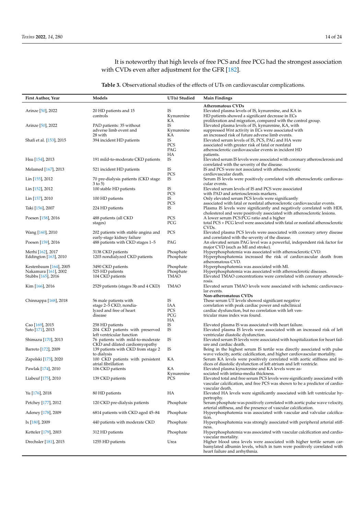It is noteworthy that high levels of free PCS and free PCG had the strongest association with CVDs even after adjustment for the GFR [182].

**Table 3.** Observational studies of the effects of UTs on cardiovascular complications.

| First Author, Year                                                   | Models                                                                                | UT(s) Studied                         | <b>Main Findings</b>                                                                                                                                                                                               |
|----------------------------------------------------------------------|---------------------------------------------------------------------------------------|---------------------------------------|--------------------------------------------------------------------------------------------------------------------------------------------------------------------------------------------------------------------|
| Arinze [50], 2022                                                    | 20 HD patients and 15<br>controls                                                     | IS<br>Kynurenine<br>КA                | <b>Atheromatous CVDs</b><br>Elevated plasma levels of IS, kynurenine, and KA in<br>HD patients showed a significant decrease in ECs<br>proliferation and migration, compared with the control group.               |
| Arinze [50], 2022                                                    | PAD patients: 35 without<br>adverse limb event and                                    | IS<br>Kynurenine                      | Elevated plasma levels of IS, kynurenine, KA, with<br>suppressed Wnt activity in ECs were associated with                                                                                                          |
| Shafi et al. [153], 2015                                             | 28 with<br>394 incident HD patients                                                   | КA<br>IS<br>PCS<br>PAG                | an increased risk of future adverse limb events.<br>Elevated serum levels of IS, PCS, PAG and HA were<br>associated with greater risk of fatal or nonfatal<br>atherosclerotic cardiovascular events in incident HD |
| Hsu [154], 2013                                                      | 191 mild-to-moderate CKD patients                                                     | HA<br>IS                              | patients.<br>Elevated serum IS levels were associated with coronary atherosclerosis and<br>correlated with the severity of the disease.                                                                            |
| Melamed [167], 2013                                                  | 521 incident HD patients                                                              | IS<br>PCS                             | IS and PCS were not associated with atherosclerotic<br>cardiovascular death.                                                                                                                                       |
| Lin [155], 2012                                                      | 70 pre-dialysis patients (CKD stage<br>$3$ to $5)$                                    | IS                                    | Serum IS levels were positively correlated with atherosclerotic cardiovas-<br>cular events.                                                                                                                        |
| Lin [152], 2012                                                      | 100 stable HD patients                                                                | IS<br>PCS                             | Elevated serum levels of IS and PCS were associated<br>with PAD and arteriosclerosis markers.                                                                                                                      |
| Lin [157], 2010                                                      | 100 HD patients                                                                       | IS<br>PCS                             | Only elevated serum PCS levels were significantly<br>associated with fatal or nonfatal atherosclerotic cardiovascular events.                                                                                      |
| Taki [156], 2007                                                     | 224 HD patients                                                                       | IS                                    | Plasma IS levels were significantly and negatively correlated with HDL<br>cholesterol and were positively associated with atherosclerotic lesions.                                                                 |
| Poesen [158], 2016                                                   | 488 patients (all CKD<br>stages)                                                      | PCS<br>PCG                            | A lower serum PCS:PCG ratio and a higher<br>total PCS + PCG level were associated with fatal or nonfatal atherosclerotic<br>CVD <sub>s</sub> .                                                                     |
| Wang [160], 2010                                                     | 202 patients with stable angina and<br>early-stage kidney failure                     | PCS                                   | Elevated plasma PCS levels were associated with coronary artery disease<br>and correlated with the severity of the disease.                                                                                        |
| Poesen [159], 2016                                                   | 488 patients with CKD stages 1–5                                                      | PAG                                   | An elevated serum PAG level was a powerful, independent risk factor for<br>major CVD (such as MI and stroke).                                                                                                      |
| Merhi [162], 2017<br>Eddington [163], 2010                           | 3138 CKD patients<br>1203 nondialyzed CKD patients                                    | Phosphate<br>Phosphate                | Hyperphosphatemia was associated with atherosclerotic CVD.<br>Hyperphosphatemia increased the risk of cardiovascular death from<br>atheromatous CVD.                                                               |
| Kestenbaum [164], 2005<br>Nakamura [161], 2002<br>Stubbs [165], 2016 | 3490 CKD patients<br>525 HD patients<br>104 CKD patients                              | Phosphate<br>Phosphate<br><b>TMAO</b> | Hyperphosphatemia was associated with MI.<br>Hyperphosphatemia was associated with atherosclerotic diseases.<br>Elevated TMAO concentrations were correlated with coronary atheroscle-                             |
| Kim [166], 2016                                                      | 2529 patients (stages 3b and 4 CKD)                                                   | <b>TMAO</b>                           | rosis.<br>Elevated serum TMAO levels were associated with ischemic cardiovascu-<br>lar events.<br>Non-atheromatous CVDs                                                                                            |
| Chinnappa [168], 2018                                                | 56 male patients with<br>stage 2–5 CKD, nondia-<br>lyzed and free of heart<br>disease | IS<br>IAA<br>PCS<br>PCG<br>HA         | These serum UT levels showed significant negative<br>correlation with peak cardiac power and subclinical<br>cardiac dysfunction, but no correlation with left ven-<br>tricular mass index was found.               |
| Cao [169], 2015<br>Sato [171], 2013                                  | 258 HD patients<br>204 CKD patients with preserved<br>left ventricular function       | IS<br>IS                              | Elevated plasma IS was associated with heart failure.<br>Elevated plasma IS levels were associated with an increased risk of left<br>ventricular diastolic dysfunction.                                            |
| Shimazu [170], 2013                                                  | 76 patients with mild-to-moderate<br>CKD and dilated cardiomyopathy                   | IS                                    | Elevated serum IS levels were associated with hospitalization for heart fail-<br>ure and cardiac death.                                                                                                            |
| Barreto [172], 2009                                                  | 139 patients with CKD from stage 2<br>to dialysis                                     | IS                                    | Being in the highest serum IS tertile was directly associated with pulse<br>wave velocity, aortic calcification, and higher cardiovascular mortality.                                                              |
| Zapolski [173], 2020                                                 | 100 CKD patients with persistent<br>atrial fibrillation                               | KА                                    | Serum KA levels were positively correlated with aortic stiffness and in-<br>dices of diastolic dysfunction of left atrium and left ventricle.                                                                      |
| Pawlak [174], 2010                                                   | 106 CKD patients                                                                      | КA<br>Kynurenine                      | Elevated plasma kynurenine and KA levels were as-<br>sociated with intima-media thickness.                                                                                                                         |
| Liabeuf [175], 2010                                                  | 139 CKD patients                                                                      | PCS                                   | Elevated total and free serum PCS levels were significantly associated with<br>vascular calcification, and free PCS was shown to be a predictor of cardio-<br>vascular death.                                      |
| Yu [176], 2018                                                       | 80 HD patients                                                                        | HA                                    | Elevated HA levels were significantly associated with left ventricular hy-                                                                                                                                         |
| Petchey [177], 2012                                                  | 120 CKD pre-dialysis patients                                                         | Phosphate                             | pertrophy.<br>Serum phosphate was positively correlated with aortic pulse wave velocity,<br>arterial stiffness, and the presence of vascular calcification.                                                        |
| Adeney [178], 2009                                                   | 6814 patients with CKD aged 45–84                                                     | Phosphate                             | Hyperphosphatemia was associated with vascular and valvular calcifica-<br>tion.                                                                                                                                    |
| Ix [180], 2009                                                       | 440 patients with moderate CKD                                                        | Phosphate                             | Hyperphosphatemia was strongly associated with peripheral arterial stiff-<br>ness.                                                                                                                                 |
| Ketteler [179], 2003                                                 | 312 HD patients                                                                       | Phosphate                             | Hyperphosphatemia was associated with vascular calcification and cardio-<br>vascular mortality.                                                                                                                    |
| Drechsler [181], 2015                                                | 1255 HD patients                                                                      | Urea                                  | Higher blood urea levels were associated with higher tertile serum car-<br>bamylated albumin levels, which in turn were positively correlated with<br>heart failure and arrhythmia.                                |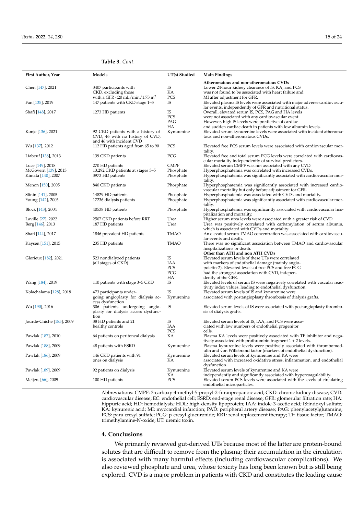### **Table 3.** *Cont.*

| First Author, Year        | Models                                    | UT(s) Studied | <b>Main Findings</b>                                                       |
|---------------------------|-------------------------------------------|---------------|----------------------------------------------------------------------------|
|                           |                                           |               | Atheromatous and non-atheromatous CVDs                                     |
| Chen [147], 2021          | 3407 participants with                    | IS            | Lower 24-hour kidney clearance of IS, KA, and PCS                          |
|                           | CKD, excluding those                      | KА            | was not found to be associated with heart failure and                      |
|                           | with a GFR <20 mL/min/1.73 m <sup>2</sup> | <b>PCS</b>    | MI after adjustment for GFR.                                               |
| Fan [135], 2019           | 147 patients with CKD stage 1-5           | <b>IS</b>     | Elevated plasma IS levels were associated with major adverse cardiovascu-  |
|                           |                                           |               | lar events, independently of GFR and nutritional status.                   |
| Shafi [148], 2017         | 1273 HD patients                          | IS            | Overall, elevated serum IS, PCS, PAG and HA levels                         |
|                           |                                           | PCS           | were not associated with any cardiovascular event.                         |
|                           |                                           | PAG           | However, high IS levels were predictive of cardiac                         |
|                           |                                           | HA            | and sudden cardiac death in patients with low albumin levels.              |
| Konje [136], 2021         | 92 CKD patients with a history of         | Kynurenine    | Elevated serum kynurenine levels were associated with incident atheroma-   |
|                           | CVD, 46 with no history of CVD,           |               | tous and non-atheromatous CVDs.                                            |
|                           | and 46 with incident CVD                  |               |                                                                            |
| Wu [137], 2012            | 112 HD patients aged from 65 to 90        | PCS           | Elevated free PCS serum levels were associated with cardiovascular mor-    |
|                           |                                           |               | tality.                                                                    |
| Liabeuf [138], 2013       | 139 CKD patients                          | PCG           | Elevated free and total serum PCG levels were correlated with cardiovas-   |
|                           |                                           |               | cular mortality independently of survival predictors.                      |
| Luce [149], 2018          | 270 HD patients                           | CMPF          | Elevated serum CMPF was not associated with any CVD.                       |
| McGovern [139], 2013      | 13,292 CKD patients at stages 3-5         | Phosphate     | Hyperphosphatemia was correlated with increased CVDs.                      |
| Kimata [140], 2007        | 3973 HD patients                          | Phosphate     | Hyperphosphatemia was significantly associated with cardiovascular mor-    |
|                           |                                           |               | tality.                                                                    |
| Menon [150], 2005         | 840 CKD patients                          | Phosphate     | Hyperphosphatemia was significantly associated with increased cardio-      |
|                           |                                           |               | vascular mortality but only before adjustment for GFR.                     |
| Slinin [141], 2005        | 14829 HD patients                         | Phosphate     | Hyperphosphatemia was associated with CVDs and mortality.                  |
| Young [142], 2005         | 17236 dialysis patients                   | Phosphate     | Hyperphosphatemia was significantly associated with cardiovascular mor-    |
|                           |                                           |               | tality.                                                                    |
| Block [143], 2004         | 40538 HD patients                         | Phosphate     | Hyperphosphatemia was significantly associated with cardiovascular hos-    |
|                           |                                           |               | pitalization and mortality.                                                |
| Laville [27], 2022        | 2507 CKD patients before RRT              | Urea          | Higher serum urea levels were associated with a greater risk of CVD.       |
| Berg [146], 2013          | 187 HD patients                           | Urea          | Urea was positively correlated with carbamylation of serum albumin,        |
|                           |                                           |               | which is associated with CVDs and mortality.                               |
| Shafi [144], 2017         | 1846 prevalent HD patients                | TMAO          | An elevated serum TMAO concentration was associated with cardiovascu-      |
|                           |                                           |               | lar events and death.                                                      |
| Kaysen [151], 2015        | 235 HD patients                           | <b>TMAO</b>   | There was no significant association between TMAO and cardiovascular       |
|                           |                                           |               | hospitalizations or death.                                                 |
|                           |                                           |               | Other than ATH and non ATH CVDs                                            |
| Glorieux [182], 2021      | 523 nondialyzed patients                  | IS            | Elevated serum levels of these UTs were correlated                         |
|                           | (all stages of CKD)                       | IAA           | with markers of endothelial damage (mainly angio-                          |
|                           |                                           | <b>PCS</b>    | poietin-2). Elevated levels of free PCS and free PCG                       |
|                           |                                           | PCG           | had the strongest association with CVD, indepen-                           |
|                           |                                           | НA            | dently of the GFR.                                                         |
| Wang [184], 2019          | 110 patients with stage 3-5 CKD           | IS            | Elevated levels of serum IS were negatively correlated with vascular reac- |
|                           |                                           |               | tivity index values, leading to endothelial dysfunction.                   |
| Kolachalama [128], 2018   | 473 participants under-                   | IS            | Elevated serum levels of IS and kynurenine were                            |
|                           | going angioplasty for dialysis ac-        | Kynurenine    | associated with postangioplasty thrombosis of dialysis grafts.             |
|                           | cess dysfunction                          |               |                                                                            |
| Wu [190], 2016            | 306 patients undergoing angio-            | IS            | Elevated serum levels of IS were associated with postangioplasty thrombo-  |
|                           | plasty for dialysis access dysfunc-       |               | sis of dialysis grafts.                                                    |
|                           | tion                                      |               |                                                                            |
| Jourde-Chiche [185], 2009 | 38 HD patients and 21                     | IS            | Elevated serum levels of IS, IAA, and PCS were asso-                       |
|                           | healthy controls                          | IAA           | ciated with low numbers of endothelial progenitor                          |
|                           |                                           | <b>PCS</b>    | cells.                                                                     |
| Pawlak [187], 2010        | 64 patients on peritoneal dialysis        | KА            | Plasma KA levels were positively associated with TF inhibitor and nega-    |
|                           |                                           |               | tively associated with prothrombin fragment $1 + 2$ levels.                |
| Pawlak [188], 2009        | 48 patients with ESRD                     | Kynurenine    | Plasma kynurenine levels were positively associated with thrombomod-       |
|                           |                                           |               | ulin and von Willebrand factor (markers of endothelial dysfunction).       |
| Pawlak [186], 2009        | 146 CKD patients with 91                  | Kynurenine    | Elevated serum levels of kynurenine and KA were                            |
|                           | ones on dialysis                          | KA            | associated with increased oxidative stress, inflammation, and endothelial  |
|                           |                                           |               | dysfunction.                                                               |
| Pawlak [189], 2009        | 92 patients on dialysis                   | Kynurenine    | Elevated serum levels of kynurenine and KA were                            |
|                           |                                           | KА            | independently and significantly associated with hypercoagulability.        |
| Meijers [66], 2009        | 100 HD patients                           | PCS           | Elevated serum PCS levels were associated with the levels of circulating   |
|                           |                                           |               | endothelial microparticles.                                                |

Abbreviations: CMPF: 3-carboxy-4-methyl-5-propyl-2-furanpropanoic acid; CKD: chronic kidney disease; CVD: cardiovascular disease; EC: endothelial cell; ESRD: end-stage renal disease; GFR: glomerular filtration rate; HA: hippuric acid; HD: hemodialysis; HDL: high-density lipoprotein; IAA: indole-3-acetic acid; IS:indoxyl sulfate; KA: kynurenic acid; MI: myocardial infarction; PAD: peripheral artery disease; PAG: phenylacetylglutamine; PCS: para-cresyl sulfate; PCG: p-cresyl glucuronide; RRT: renal replacement therapy; TF: tissue factor; TMAO: trimethylamine-N-oxide; UT: uremic toxin.

#### **4. Conclusions**

We primarily reviewed gut-derived UTs because most of the latter are protein-bound solutes that are difficult to remove from the plasma; their accumulation in the circulation is associated with many harmful effects (including cardiovascular complications). We also reviewed phosphate and urea, whose toxicity has long been known but is still being explored. CVD is a major problem in patients with CKD and constitutes the leading cause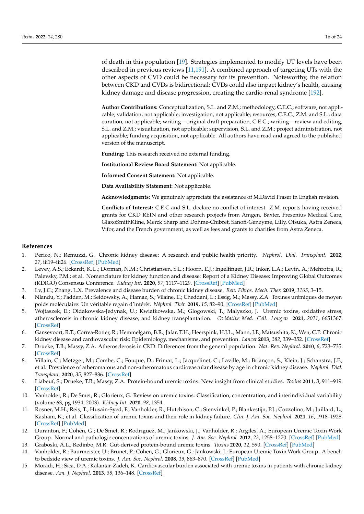of death in this population [19]. Strategies implemented to modify UT levels have been described in previous reviews [11,191]. A combined approach of targeting UTs with the other aspects of CVD could be necessary for its prevention. Noteworthy, the relation between CKD and CVDs is bidirectional: CVDs could also impact kidney's health, causing kidney damage and disease progression, creating the cardio-renal syndrome [192].

**Author Contributions:** Conceptualization, S.L. and Z.M.; methodology, C.E.C.; software, not applicable; validation, not applicable; investigation, not applicable; resources, C.E.C., Z.M. and S.L.; data curation, not applicable; writing—original draft preparation, C.E.C.; writing—review and editing, S.L. and Z.M.; visualization, not applicable; supervision, S.L. and Z.M.; project administration, not applicable; funding acquisition, not applicable. All authors have read and agreed to the published version of the manuscript.

**Funding:** This research received no external funding.

**Institutional Review Board Statement:** Not applicable.

**Informed Consent Statement:** Not applicable.

**Data Availability Statement:** Not applicable.

**Acknowledgments:** We genuinely appreciate the assistance of M.David Fraser in English revision.

**Conflicts of Interest:** C.E.C and S.L. declare no conflict of interest. Z.M. reports having received grants for CKD REIN and other research projects from Amgen, Baxter, Fresenius Medical Care, GlaxoSmithKline, Merck Sharp and Dohme-Chibret, Sanofi-Genzyme, Lilly, Otsuka, Astra Zeneca, Vifor, and the French government, as well as fees and grants to charities from Astra Zeneca.

#### **References**

- 1. Perico, N.; Remuzzi, G. Chronic kidney disease: A research and public health priority. *Nephrol. Dial. Transplant.* **2012**, *27*, iii19–iii26. [\[CrossRef\]](http://doi.org/10.1093/ndt/gfs284) [\[PubMed\]](http://www.ncbi.nlm.nih.gov/pubmed/22764188)
- 2. Levey, A.S.; Eckardt, K.U.; Dorman, N.M.; Christiansen, S.L.; Hoorn, E.J.; Ingelfinger, J.R.; Inker, L.A.; Levin, A.; Mehrotra, R.; Palevsky, P.M.; et al. Nomenclature for kidney function and disease: Report of a Kidney Disease: Improving Global Outcomes (KDIGO) Consensus Conference. *Kidney Int.* **2020**, *97*, 1117–1129. [\[CrossRef\]](http://dx.doi.org/10.1016/j.kint.2020.02.010) [\[PubMed\]](http://www.ncbi.nlm.nih.gov/pubmed/32409237)
- 3. Lv, J.C.; Zhang, L.X. Prevalence and disease burden of chronic kidney disease. *Ren. Fibros. Mech. Ther.* **2019**, *1165*, 3–15.
- 4. Nlandu, Y.; Padden, M.; Seidowsky, A.; Hamaz, S.; Vilaine, E.; Cheddani, L.; Essig, M.; Massy, Z.A. Toxines urémiques de moyen poids moléculaire: Un véritable regain d'intérêt. *Néphrol. Thér.* **2019**, *15*, 82–90. [\[CrossRef\]](http://dx.doi.org/10.1016/j.nephro.2018.09.003) [\[PubMed\]](http://www.ncbi.nlm.nih.gov/pubmed/30954165)
- 5. Wojtaszek, E.; Oldakowska-Jedynak, U.; Kwiatkowska, M.; Glogowski, T.; Malyszko, J. Uremic toxins, oxidative stress, atherosclerosis in chronic kidney disease, and kidney transplantation. *Oxidative Med. Cell. Longev.* **2021**, *2021*, 6651367. [\[CrossRef\]](http://dx.doi.org/10.1155/2021/6651367)
- 6. Gansevoort, R.T.; Correa-Rotter, R.; Hemmelgarn, B.R.; Jafar, T.H.; Heerspink, H.J.L.; Mann, J.F.; Matsushita, K.; Wen, C.P. Chronic kidney disease and cardiovascular risk: Epidemiology, mechanisms, and prevention. *Lancet* **2013**, *382*, 339–352. [\[CrossRef\]](http://dx.doi.org/10.1016/S0140-6736(13)60595-4)
- 7. Drüeke, T.B.; Massy, Z.A. Atherosclerosis in CKD: Differences from the general population. *Nat. Rev. Nephrol.* **2010**, *6*, 723–735. [\[CrossRef\]](http://dx.doi.org/10.1038/nrneph.2010.143)
- 8. Villain, C.; Metzger, M.; Combe, C.; Fouque, D.; Frimat, L.; Jacquelinet, C.; Laville, M.; Briançon, S.; Klein, J.; Schanstra, J.P.; et al. Prevalence of atheromatous and non-atheromatous cardiovascular disease by age in chronic kidney disease. *Nephrol. Dial. Transplant.* **2020**, *35*, 827–836. [\[CrossRef\]](http://dx.doi.org/10.1093/ndt/gfy277)
- 9. Liabeuf, S.; Drüeke, T.B.; Massy, Z.A. Protein-bound uremic toxins: New insight from clinical studies. *Toxins* **2011**, *3*, 911–919. [\[CrossRef\]](http://dx.doi.org/10.3390/toxins3070911)
- 10. Vanholder, R.; De Smet, R.; Glorieux, G. Review on uremic toxins: Classification, concentration, and interindividual variability (volume 63, pg 1934, 2003). *Kidney Int.* **2020**, *98*, 1354.
- 11. Rosner, M.H.; Reis, T.; Husain-Syed, F.; Vanholder, R.; Hutchison, C.; Stenvinkel, P.; Blankestijn, P.J.; Cozzolino, M.; Juillard, L.; Kashani, K.; et al. Classification of uremic toxins and their role in kidney failure. *Clin. J. Am. Soc. Nephrol.* **2021**, *16*, 1918–1928. [\[CrossRef\]](http://dx.doi.org/10.2215/CJN.02660221) [\[PubMed\]](http://www.ncbi.nlm.nih.gov/pubmed/34233920)
- 12. Duranton, F.; Cohen, G.; De Smet, R.; Rodriguez, M.; Jankowski, J.; Vanholder, R.; Argiles, A.; European Uremic Toxin Work Group. Normal and pathologic concentrations of uremic toxins. *J. Am. Soc. Nephrol.* **2012**, *23*, 1258–1270. [\[CrossRef\]](http://dx.doi.org/10.1681/ASN.2011121175) [\[PubMed\]](http://www.ncbi.nlm.nih.gov/pubmed/22626821)
- 13. Graboski, A.L.; Redinbo, M.R. Gut-derived protein-bound uremic toxins. *Toxins* **2020**, *12*, 590. [\[CrossRef\]](http://dx.doi.org/10.3390/toxins12090590) [\[PubMed\]](http://www.ncbi.nlm.nih.gov/pubmed/32932981)
- 14. Vanholder, R.; Baurmeister, U.; Brunet, P.; Cohen, G.; Glorieux, G.; Jankowski, J.; European Uremic Toxin Work Group. A bench to bedside view of uremic toxins. *J. Am. Soc. Nephrol.* **2008**, *19*, 863–870. [\[CrossRef\]](http://dx.doi.org/10.1681/ASN.2007121377) [\[PubMed\]](http://www.ncbi.nlm.nih.gov/pubmed/18287557)
- 15. Moradi, H.; Sica, D.A.; Kalantar-Zadeh, K. Cardiovascular burden associated with uremic toxins in patients with chronic kidney disease. *Am. J. Nephrol.* **2013**, *38*, 136–148. [\[CrossRef\]](http://dx.doi.org/10.1159/000351758)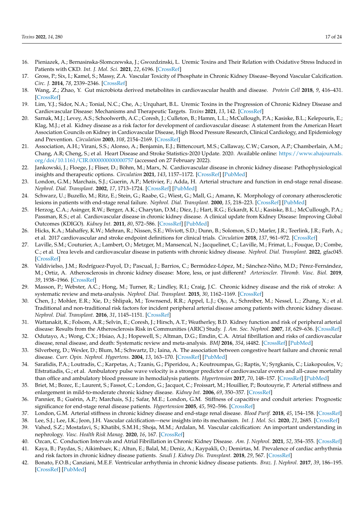- 16. Pieniazek, A.; Bernasinska-Slomczewska, J.; Gwozdzinski, L. Uremic Toxins and Their Relation with Oxidative Stress Induced in Patients with CKD. *Int. J. Mol. Sci.* **2021**, *22*, 6196. [\[CrossRef\]](http://dx.doi.org/10.3390/ijms22126196)
- 17. Gross, P.; Six, I.; Kamel, S.; Massy, Z.A. Vascular Toxicity of Phosphate in Chronic Kidney Disease–Beyond Vascular Calcification. *Circ. J.* **2014**, *78*, 2339–2346. [\[CrossRef\]](http://dx.doi.org/10.1253/circj.CJ-14-0735)
- 18. Wang, Z.; Zhao, Y. Gut microbiota derived metabolites in cardiovascular health and disease. *Protein Cell* **2018**, *9*, 416–431. [\[CrossRef\]](http://dx.doi.org/10.1007/s13238-018-0549-0)
- 19. Lim, Y.J.; Sidor, N.A.; Tonial, N.C.; Che, A.; Urquhart, B.L. Uremic Toxins in the Progression of Chronic Kidney Disease and Cardiovascular Disease: Mechanisms and Therapeutic Targets. *Toxins* **2021**, *13*, 142. [\[CrossRef\]](http://dx.doi.org/10.3390/toxins13020142)
- 20. Sarnak, M.J.; Levey, A.S.; Schoolwerth, A.C.; Coresh, J.; Culleton, B.; Hamm, L.L.; McCullough, P.A.; Kasiske, B.L.; Kelepouris, E.; Klag, M.J.; et al. Kidney disease as a risk factor for development of cardiovascular disease: A statement from the American Heart Association Councils on Kidney in Cardiovascular Disease, High Blood Pressure Research, Clinical Cardiology, and Epidemiology and Prevention. *Circulation* **2003**, *108*, 2154–2169. [\[CrossRef\]](http://dx.doi.org/10.1161/01.CIR.0000095676.90936.80)
- 21. Association, A.H.; Virani, S.S.; Alonso, A.; Benjamin, E.J.; Bittencourt, M.S.; Callaway, C.W.; Carson, A.P.; Chamberlain, A.M.; Chang, A.R; Cheng, S.; et al. Heart Disease and Stroke Statistics-2020 Update. 2020. Available online: [https://www.ahajournals.](https://www.ahajournals.org/doi/10.1161/CIR.0000000000000757) [org/doi/10.1161/CIR.0000000000000757](https://www.ahajournals.org/doi/10.1161/CIR.0000000000000757) (accessed on 27 February 2022).
- 22. Jankowski, J.; Floege, J.; Fliser, D.; Böhm, M.; Marx, N. Cardiovascular disease in chronic kidney disease: Pathophysiological insights and therapeutic options. *Circulation* **2021**, *143*, 1157–1172. [\[CrossRef\]](http://dx.doi.org/10.1161/CIRCULATIONAHA.120.050686) [\[PubMed\]](http://www.ncbi.nlm.nih.gov/pubmed/33720773)
- 23. London, G.M.; Marchais, S.J.; Guerin, A.P.; Metivier, F.; Adda, H. Arterial structure and function in end-stage renal disease. *Nephrol. Dial. Transplant.* **2002**, *17*, 1713–1724. [\[CrossRef\]](http://dx.doi.org/10.1093/ndt/17.10.1713) [\[PubMed\]](http://www.ncbi.nlm.nih.gov/pubmed/12270974)
- 24. Schwarz, U.; Buzello, M.; Ritz, E.; Stein, G.; Raabe, G.; Wiest, G.; Mall, G.; Amann, K. Morphology of coronary atherosclerotic lesions in patients with end-stage renal failure. *Nephrol. Dial. Transplant.* **2000**, *15*, 218–223. [\[CrossRef\]](http://dx.doi.org/10.1093/ndt/15.2.218) [\[PubMed\]](http://www.ncbi.nlm.nih.gov/pubmed/10648668)
- 25. Herzog, C.A.; Asinger, R.W.; Berger, A.K.; Charytan, D.M.; Díez, J.; Hart, R.G.; Eckardt, K.U.; Kasiske, B.L.; McCullough, P.A.; Passman, R.S.; et al. Cardiovascular disease in chronic kidney disease. A clinical update from Kidney Disease: Improving Global Outcomes (KDIGO). *Kidney Int.* **2011**, *80*, 572–586. [\[CrossRef\]](http://dx.doi.org/10.1038/ki.2011.223) [\[PubMed\]](http://www.ncbi.nlm.nih.gov/pubmed/21750584)
- 26. Hicks, K.A.; Mahaffey, K.W.; Mehran, R.; Nissen, S.E.; Wiviott, S.D.; Dunn, B.; Solomon, S.D.; Marler, J.R.; Teerlink, J.R.; Farb, A.; et al. 2017 cardiovascular and stroke endpoint definitions for clinical trials. *Circulation* **2018**, *137*, 961–972. [\[CrossRef\]](http://dx.doi.org/10.1161/CIRCULATIONAHA.117.033502)
- 27. Laville, S.M.; Couturier, A.; Lambert, O.; Metzger, M.; Mansencal, N.; Jacquelinet, C.; Laville, M.; Frimat, L.; Fouque, D.; Combe, C.; et al. Urea levels and cardiovascular disease in patients with chronic kidney disease. *Nephrol. Dial. Transplant.* **2022**, gfac045. [\[CrossRef\]](http://dx.doi.org/10.1093/ndt/gfac045)
- 28. Valdivielso, J.M.; Rodríguez-Puyol, D.; Pascual, J.; Barrios, C.; Bermúdez-López, M.; Sánchez-Niño, M.D.; Pérez-Fernández, M.; Ortiz, A. Atherosclerosis in chronic kidney disease: More, less, or just different? *Arterioscler. Thromb. Vasc. Biol.* **2019**, *39*, 1938–1966. [\[CrossRef\]](http://dx.doi.org/10.1161/ATVBAHA.119.312705)
- 29. Masson, P.; Webster, A.C.; Hong, M.; Turner, R.; Lindley, R.I.; Craig, J.C. Chronic kidney disease and the risk of stroke: A systematic review and meta-analysis. *Nephrol. Dial. Transplant.* **2015**, *30*, 1162–1169. [\[CrossRef\]](http://dx.doi.org/10.1093/ndt/gfv009)
- 30. Chen, J.; Mohler, E.R.; Xie, D.; Shlipak, M.; Townsend, R.R.; Appel, L.J.; Ojo, A.; Schreiber, M.; Nessel, L.; Zhang, X.; et al. Traditional and non-traditional risk factors for incident peripheral arterial disease among patients with chronic kidney disease. *Nephrol. Dial. Transplant.* **2016**, *31*, 1145–1151. [\[CrossRef\]](http://dx.doi.org/10.1093/ndt/gfv418)
- 31. Wattanakit, K.; Folsom, A.R.; Selvin, E.; Coresh, J.; Hirsch, A.T.; Weatherley, B.D. Kidney function and risk of peripheral arterial disease: Results from the Atherosclerosis Risk in Communities (ARIC) Study. *J. Am. Soc. Nephrol.* **2007**, *18*, 629–636. [\[CrossRef\]](http://dx.doi.org/10.1681/ASN.2005111204)
- 32. Odutayo, A.; Wong, C.X.; Hsiao, A.J.; Hopewell, S.; Altman, D.G.; Emdin, C.A. Atrial fibrillation and risks of cardiovascular disease, renal disease, and death: Systematic review and meta-analysis. *BMJ* **2016**, *354*, i4482. [\[CrossRef\]](http://dx.doi.org/10.1136/bmj.i4482) [\[PubMed\]](http://www.ncbi.nlm.nih.gov/pubmed/27599725)
- 33. Silverberg, D.; Wexler, D.; Blum, M.; Schwartz, D.; Iaina, A. The association between congestive heart failure and chronic renal disease. *Curr. Opin. Nephrol. Hypertens.* **2004**, *13*, 163–170. [\[CrossRef\]](http://dx.doi.org/10.1097/00041552-200403000-00004) [\[PubMed\]](http://www.ncbi.nlm.nih.gov/pubmed/15202610)
- 34. Sarafidis, P.A.; Loutradis, C.; Karpetas, A.; Tzanis, G.; Piperidou, A.; Koutroumpas, G.; Raptis, V.; Syrgkanis, C.; Liakopoulos, V.; Efstratiadis, G.; et al. Ambulatory pulse wave velocity is a stronger predictor of cardiovascular events and all-cause mortality than office and ambulatory blood pressure in hemodialysis patients. *Hypertension* **2017**, *70*, 148–157. [\[CrossRef\]](http://dx.doi.org/10.1161/HYPERTENSIONAHA.117.09023) [\[PubMed\]](http://www.ncbi.nlm.nih.gov/pubmed/28483919)
- 35. Briet, M.; Bozec, E.; Laurent, S.; Fassot, C.; London, G.; Jacquot, C.; Froissart, M.; Houillier, P.; Boutouyrie, P. Arterial stiffness and enlargement in mild-to-moderate chronic kidney disease. *Kidney Int.* **2006**, *69*, 350–357. [\[CrossRef\]](http://dx.doi.org/10.1038/sj.ki.5000047)
- 36. Pannier, B.; Guérin, A.P.; Marchais, S.J.; Safar, M.E.; London, G.M. Stiffness of capacitive and conduit arteries: Prognostic significance for end-stage renal disease patients. *Hypertension* **2005**, *45*, 592–596. [\[CrossRef\]](http://dx.doi.org/10.1161/01.HYP.0000159190.71253.c3)
- 37. London, G.M. Arterial stiffness in chronic kidney disease and end-stage renal disease. *Blood Purif.* **2018**, *45*, 154–158. [\[CrossRef\]](http://dx.doi.org/10.1159/000485146)
- 38. Lee, S.J.; Lee, I.K.; Jeon, J.H. Vascular calcification—new insights into its mechanism. *Int. J. Mol. Sci.* **2020**, *21*, 2685. [\[CrossRef\]](http://dx.doi.org/10.3390/ijms21082685)
- 39. Vahed, S.Z.; Mostafavi, S.; Khatibi, S.M.H.; Shoja, M.M.; Ardalan, M. Vascular calcification: An important understanding in nephrology. *Vasc. Health Risk Manag.* **2020**, *16*, 167. [\[CrossRef\]](http://dx.doi.org/10.2147/VHRM.S242685)
- 40. Ozcan, C. Conduction Intervals and Atrial Fibrillation in Chronic Kidney Disease. *Am. J. Nephrol.* **2021**, *52*, 354–355. [\[CrossRef\]](http://dx.doi.org/10.1159/000516153)
- 41. Kaya, B.; Paydas, S.; Aikimbaev, K.; Altun, E.; Balal, M.; Deniz, A.; Kaypakli, O.; Demirtas, M. Prevalence of cardiac arrhythmia and risk factors in chronic kidney disease patients. *Saudi J. Kidney Dis. Transplant.* **2018**, *29*, 567. [\[CrossRef\]](http://dx.doi.org/10.4103/1319-2442.235178)
- 42. Bonato, F.O.B.; Canziani, M.E.F. Ventricular arrhythmia in chronic kidney disease patients. *Braz. J. Nephrol.* **2017**, *39*, 186–195. [\[CrossRef\]](http://dx.doi.org/10.5935/0101-2800.20170033) [\[PubMed\]](http://www.ncbi.nlm.nih.gov/pubmed/29069243)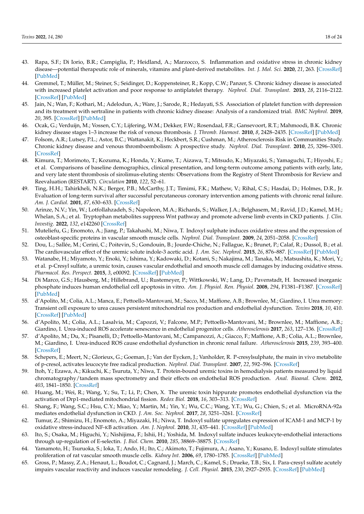- 43. Rapa, S.F.; Di Iorio, B.R.; Campiglia, P.; Heidland, A.; Marzocco, S. Inflammation and oxidative stress in chronic kidney disease—potential therapeutic role of minerals, vitamins and plant-derived metabolites. *Int. J. Mol. Sci.* **2020**, *21*, 263. [\[CrossRef\]](http://dx.doi.org/10.3390/ijms21010263) [\[PubMed\]](http://www.ncbi.nlm.nih.gov/pubmed/31906008)
- 44. Gremmel, T.; Müller, M.; Steiner, S.; Seidinger, D.; Koppensteiner, R.; Kopp, C.W.; Panzer, S. Chronic kidney disease is associated with increased platelet activation and poor response to antiplatelet therapy. *Nephrol. Dial. Transplant.* **2013**, *28*, 2116–2122. [\[CrossRef\]](http://dx.doi.org/10.1093/ndt/gft103) [\[PubMed\]](http://www.ncbi.nlm.nih.gov/pubmed/23729489)
- 45. Jain, N.; Wan, F.; Kothari, M.; Adelodun, A.; Ware, J.; Sarode, R.; Hedayati, S.S. Association of platelet function with depression and its treatment with sertraline in patients with chronic kidney disease: Analysis of a randomized trial. *BMC Nephrol.* **2019**, *20*, 395. [\[CrossRef\]](http://dx.doi.org/10.1186/s12882-019-1576-7) [\[PubMed\]](http://www.ncbi.nlm.nih.gov/pubmed/31664940)
- 46. Ocak, G.; Verduijn, M.; Vossen, C.Y.; Lijfering, W.M.; Dekker, F.W.; Rosendaal, F.R.; Gansevoort, R.T.; Mahmoodi, B.K. Chronic kidney disease stages 1–3 increase the risk of venous thrombosis. *J. Thromb. Haemost.* **2010**, *8*, 2428–2435. [\[CrossRef\]](http://dx.doi.org/10.1111/j.1538-7836.2010.04048.x) [\[PubMed\]](http://www.ncbi.nlm.nih.gov/pubmed/20831624)
- 47. Folsom, A.R.; Lutsey, P.L.; Astor, B.C.; Wattanakit, K.; Heckbert, S.R.; Cushman, M.; Atherosclerosis Risk in Communities Study. Chronic kidney disease and venous thromboembolism: A prospective study. *Nephrol. Dial. Transplant.* **2010**, *25*, 3296–3301. [\[CrossRef\]](http://dx.doi.org/10.1093/ndt/gfq179)
- 48. Kimura, T.; Morimoto, T.; Kozuma, K.; Honda, Y.; Kume, T.; Aizawa, T.; Mitsudo, K.; Miyazaki, S.; Yamaguchi, T.; Hiyoshi, E.; et al. Comparisons of baseline demographics, clinical presentation, and long-term outcome among patients with early, late, and very late stent thrombosis of sirolimus-eluting stents: Observations from the Registry of Stent Thrombosis for Review and Reevaluation (RESTART). *Circulation* **2010**, *122*, 52–61.
- 49. Ting, H.H.; Tahirkheli, N.K.; Berger, P.B.; McCarthy, J.T.; Timimi, F.K.; Mathew, V.; Rihal, C.S.; Hasdai, D.; Holmes, D.R., Jr. Evaluation of long-term survival after successful percutaneous coronary intervention among patients with chronic renal failure. *Am. J. Cardiol.* **2001**, *87*, 630–633. [\[CrossRef\]](http://dx.doi.org/10.1016/S0002-9149(00)01442-9)
- 50. Arinze, N.V.; Yin, W.; Lotfollahzadeh, S.; Napoleon, M.A.; Richards, S.; Walker, J.A.; Belghasem, M.; Ravid, J.D.; Kamel, M.H.; Whelan, S.A.; et al. Tryptophan metabolites suppress Wnt pathway and promote adverse limb events in CKD patients. *J. Clin. Investig.* **2022**, *132*, e142260 [\[CrossRef\]](http://dx.doi.org/10.1172/JCI142260)
- 51. Muteliefu, G.; Enomoto, A.; Jiang, P.; Takahashi, M.; Niwa, T. Indoxyl sulphate induces oxidative stress and the expression of osteoblast-specific proteins in vascular smooth muscle cells. *Nephrol. Dial. Transplant.* **2009**, *24*, 2051–2058. [\[CrossRef\]](http://dx.doi.org/10.1093/ndt/gfn757)
- 52. Dou, L.; Sallée, M.; Cerini, C.; Poitevin, S.; Gondouin, B.; Jourde-Chiche, N.; Fallague, K.; Brunet, P.; Calaf, R.; Dussol, B.; et al. The cardiovascular effect of the uremic solute indole-3 acetic acid. *J. Am. Soc. Nephrol.* **2015**, *26*, 876–887. [\[CrossRef\]](http://dx.doi.org/10.1681/ASN.2013121283) [\[PubMed\]](http://www.ncbi.nlm.nih.gov/pubmed/25145928)
- 53. Watanabe, H.; Miyamoto, Y.; Enoki, Y.; Ishima, Y.; Kadowaki, D.; Kotani, S.; Nakajima, M.; Tanaka, M.; Matsushita, K.; Mori, Y.; et al. p-Cresyl sulfate, a uremic toxin, causes vascular endothelial and smooth muscle cell damages by inducing oxidative stress. *Pharmacol. Res. Perspect.* **2015**, *3*, e00092. [\[CrossRef\]](http://dx.doi.org/10.1002/prp2.92) [\[PubMed\]](http://www.ncbi.nlm.nih.gov/pubmed/25692011)
- 54. Di Marco, G.S.; Hausberg, M.; Hillebrand, U.; Rustemeyer, P.; Wittkowski, W.; Lang, D.; Pavenstadt, H. Increased inorganic phosphate induces human endothelial cell apoptosis in vitro. *Am. J. Physiol. Ren. Physiol.* **2008**, *294*, F1381–F1387. [\[CrossRef\]](http://dx.doi.org/10.1152/ajprenal.00003.2008) [\[PubMed\]](http://www.ncbi.nlm.nih.gov/pubmed/18385273)
- 55. d'Apolito, M.; Colia, A.L.; Manca, E.; Pettoello-Mantovani, M.; Sacco, M.; Maffione, A.B.; Brownlee, M.; Giardino, I. Urea memory: Transient cell exposure to urea causes persistent mitochondrial ros production and endothelial dysfunction. *Toxins* **2018**, *10*, 410. [\[CrossRef\]](http://dx.doi.org/10.3390/toxins10100410) [\[PubMed\]](http://www.ncbi.nlm.nih.gov/pubmed/30314315)
- 56. d'Apolito, M.; Colia, A.L.; Lasalvia, M.; Capozzi, V.; Falcone, M.P.; Pettoello-Mantovani, M.; Brownlee, M.; Maffione, A.B.; Giardino, I. Urea-induced ROS accelerate senescence in endothelial progenitor cells. *Atherosclerosis* **2017**, *263*, 127–136. [\[CrossRef\]](http://dx.doi.org/10.1016/j.atherosclerosis.2017.06.028)
- 57. d'Apolito, M.; Du, X.; Pisanelli, D.; Pettoello-Mantovani, M.; Campanozzi, A.; Giacco, F.; Maffione, A.B.; Colia, A.L.; Brownlee, M.; Giardino, I. Urea-induced ROS cause endothelial dysfunction in chronic renal failure. *Atherosclerosis* **2015**, *239*, 393–400. [\[CrossRef\]](http://dx.doi.org/10.1016/j.atherosclerosis.2015.01.034)
- 58. Schepers, E.; Meert, N.; Glorieux, G.; Goeman, J.; Van der Eycken, J.; Vanholder, R. P-cresylsulphate, the main in vivo metabolite of p-cresol, activates leucocyte free radical production. *Nephrol. Dial. Transplant.* **2007**, *22*, 592–596. [\[CrossRef\]](http://dx.doi.org/10.1093/ndt/gfl584)
- 59. Itoh, Y.; Ezawa, A.; Kikuchi, K.; Tsuruta, Y.; Niwa, T. Protein-bound uremic toxins in hemodialysis patients measured by liquid chromatography/tandem mass spectrometry and their effects on endothelial ROS production. *Anal. Bioanal. Chem.* **2012**, *403*, 1841–1850. [\[CrossRef\]](http://dx.doi.org/10.1007/s00216-012-5929-3)
- 60. Huang, M.; Wei, R.; Wang, Y.; Su, T.; Li, P.; Chen, X. The uremic toxin hippurate promotes endothelial dysfunction via the activation of Drp1-mediated mitochondrial fission. *Redox Biol.* **2018**, *16*, 303–313. [\[CrossRef\]](http://dx.doi.org/10.1016/j.redox.2018.03.010)
- 61. Shang, F.; Wang, S.C.; Hsu, C.Y.; Miao, Y.; Martin, M.; Yin, Y.; Wu, C.C.; Wang, Y.T.; Wu, G.; Chien, S.; et al. MicroRNA-92a mediates endothelial dysfunction in CKD. *J. Am. Soc. Nephrol.* **2017**, *28*, 3251–3261. [\[CrossRef\]](http://dx.doi.org/10.1681/ASN.2016111215)
- 62. Tumur, Z.; Shimizu, H.; Enomoto, A.; Miyazaki, H.; Niwa, T. Indoxyl sulfate upregulates expression of ICAM-1 and MCP-1 by oxidative stress-induced NF-KB activation. *Am. J. Nephrol.* **2010**, *31*, 435–441. [\[CrossRef\]](http://dx.doi.org/10.1159/000299798) [\[PubMed\]](http://www.ncbi.nlm.nih.gov/pubmed/20389059)
- 63. Ito, S.; Osaka, M.; Higuchi, Y.; Nishijima, F.; Ishii, H.; Yoshida, M. Indoxyl sulfate induces leukocyte-endothelial interactions through up-regulation of E-selectin. *J. Biol. Chem.* **2010**, *285*, 38869–38875. [\[CrossRef\]](http://dx.doi.org/10.1074/jbc.M110.166686)
- 64. Yamamoto, H.; Tsuruoka, S.; Ioka, T.; Ando, H.; Ito, C.; Akimoto, T.; Fujimura, A.; Asano, Y.; Kusano, E. Indoxyl sulfate stimulates proliferation of rat vascular smooth muscle cells. *Kidney Int.* **2006**, *69*, 1780–1785. [\[CrossRef\]](http://dx.doi.org/10.1038/sj.ki.5000340) [\[PubMed\]](http://www.ncbi.nlm.nih.gov/pubmed/16612331)
- 65. Gross, P.; Massy, Z.A.; Henaut, L.; Boudot, C.; Cagnard, J.; March, C.; Kamel, S.; Drueke, T.B.; Six, I. Para-cresyl sulfate acutely impairs vascular reactivity and induces vascular remodeling. *J. Cell. Physiol.* **2015**, *230*, 2927–2935. [\[CrossRef\]](http://dx.doi.org/10.1002/jcp.25018) [\[PubMed\]](http://www.ncbi.nlm.nih.gov/pubmed/25899466)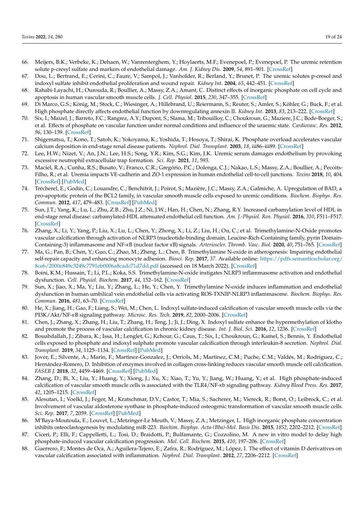- 66. Meijers, B.K.; Verbeke, K.; Dehaen, W.; Vanrenterghem, Y.; Hoylaerts, M.F.; Evenepoel, P.; Evenepoel, P. The uremic retention solute p-cresyl sulfate and markers of endothelial damage. *Am. J. Kidney Dis.* **2009**, *54*, 891–901. [\[CrossRef\]](http://dx.doi.org/10.1053/j.ajkd.2009.04.022)
- 67. Dou, L.; Bertrand, E.; Cerini, C.; Faure, V.; Sampol, J.; Vanholder, R.; Berland, Y.; Brunet, P. The uremic solutes p-cresol and indoxyl sulfate inhibit endothelial proliferation and wound repair. *Kidney Int.* **2004**, *65*, 442–451. [\[CrossRef\]](http://dx.doi.org/10.1111/j.1523-1755.2004.00399.x)
- 68. Rahabi-Layachi, H.; Ourouda, R.; Boullier, A.; Massy, Z.A.; Amant, C. Distinct effects of inorganic phosphate on cell cycle and apoptosis in human vascular smooth muscle cells. *J. Cell. Physiol.* **2015**, *230*, 347–355. [\[CrossRef\]](http://dx.doi.org/10.1002/jcp.24715)
- 69. Di Marco, G.S.; König, M.; Stock, C.; Wiesinger, A.; Hillebrand, U.; Reiermann, S.; Reuter, S.; Amler, S.; Köhler, G.; Buck, F.; et al. High phosphate directly affects endothelial function by downregulating annexin II. *Kidney Int.* **2013**, *83*, 213–222. [\[CrossRef\]](http://dx.doi.org/10.1038/ki.2012.300)
- 70. Six, I.; Maizel, J.; Barreto, F.C.; Rangrez, A.Y.; Dupont, S.; Slama, M.; Tribouilloy, C.; Choukroun, G.; Maziere, J.C.; Bode-Boeger, S.; et al. Effects of phosphate on vascular function under normal conditions and influence of the uraemic state. *Cardiovasc. Res.* **2012**, *96*, 130–139. [\[CrossRef\]](http://dx.doi.org/10.1093/cvr/cvs240)
- 71. Shigematsu, T.; Kono, T.; Satoh, K.; Yokoyama, K.; Yoshida, T.; Hosoya, T.; Shirai, K. Phosphate overload accelerates vascular calcium deposition in end-stage renal disease patients. *Nephrol. Dial. Transplant.* **2003**, *18*, iii86–iii89. [\[CrossRef\]](http://dx.doi.org/10.1093/ndt/gfg1022)
- 72. Lee, H.W.; Nizet, V.; An, J.N.; Lee, H.S.; Song, Y.R.; Kim, S.G.; Kim, J.K. Uremic serum damages endothelium by provoking excessive neutrophil extracellular trap formation. *Sci. Rep.* **2021**, *11*, 593.
- 73. Maciel, R.A.; Cunha, R.S.; Busato, V.; Franco, C.R.; Gregório, P.C.; Dolenga, C.J.; Nakao, L.S.; Massy, Z.A.; Boullier, A.; Pecoits-Filho, R.; et al. Uremia impacts VE-cadherin and ZO-1 expression in human endothelial cell-to-cell junctions. *Toxins* **2018**, *10*, 404. [\[CrossRef\]](http://dx.doi.org/10.3390/toxins10100404) [\[PubMed\]](http://www.ncbi.nlm.nih.gov/pubmed/30301260)
- 74. Trécherel, E.; Godin, C.; Louandre, C.; Benchitrit, J.; Poirot, S.; Mazière, J.C.; Massy, Z.A.; Galmiche, A. Upregulation of BAD, a pro-apoptotic protein of the BCL2 family, in vascular smooth muscle cells exposed to uremic conditions. *Biochem. Biophys. Res. Commun.* **2012**, *417*, 479–483. [\[CrossRef\]](http://dx.doi.org/10.1016/j.bbrc.2011.11.144) [\[PubMed\]](http://www.ncbi.nlm.nih.gov/pubmed/22172950)
- 75. Sun, J.T.; Yang, K.; Lu, L.; Zhu, Z.B.; Zhu, J.Z.; Ni, J.W.; Han, H.; Chen, N.; Zhang, R.Y. Increased carbamylation level of HDL in end-stage renal disease: carbamylated-HDL attenuated endothelial cell function. *Am. J.-Physiol. Ren. Physiol.* **2016**, *310*, F511–F517. [\[CrossRef\]](http://dx.doi.org/10.1152/ajprenal.00508.2015)
- 76. Zhang, X.; Li, Y.; Yang, P.; Liu, X.; Lu, L.; Chen, Y.; Zhong, X.; Li, Z.; Liu, H.; Ou, C.; et al. Trimethylamine-N-Oxide promotes vascular calcification through activation of NLRP3 (nucleotide-binding domain, Leucine-Rich-Containing family, pyrin Domain-Containing-3) inflammasome and NF-*κ*B (nuclear factor *κ*B) signals. *Arterioscler. Thromb. Vasc. Biol.* **2020**, *40*, 751–765. [\[CrossRef\]](http://dx.doi.org/10.1161/ATVBAHA.119.313414)
- 77. Ma, G.; Pan, B.; Chen, Y.; Guo, C.; Zhao, M.; Zheng, L.; Chen, B. Trimethylamine N-oxide in atherogenesis: Impairing endothelial self-repair capacity and enhancing monocyte adhesion. *Biosci. Rep.* **2017**, *37*. Available online: [https://pdfs.semanticscholar.org/](https://pdfs.semanticscholar.org/8ce6/2000e849c3249c7791eb0006a8cadc71d7dd.pdf) [8ce6/2000e849c3249c7791eb0006a8cadc71d7dd.pdf](https://pdfs.semanticscholar.org/8ce6/2000e849c3249c7791eb0006a8cadc71d7dd.pdf) (accessed on 18 March 2022). [\[CrossRef\]](http://dx.doi.org/10.1042/BSR20160244)
- 78. Boini, K.M.; Hussain, T.; Li, P.L.; Koka, S.S. Trimethylamine-N-oxide instigates NLRP3 inflammasome activation and endothelial dysfunction. *Cell. Physiol. Biochem.* **2017**, *44*, 152–162. [\[CrossRef\]](http://dx.doi.org/10.1159/000484623)
- 79. Sun, X.; Jiao, X.; Ma, Y.; Liu, Y.; Zhang, L.; He, Y.; Chen, Y. Trimethylamine N-oxide induces inflammation and endothelial dysfunction in human umbilical vein endothelial cells via activating ROS-TXNIP-NLRP3 inflammasome. *Biochem. Biophys. Res. Commun.* **2016**, *481*, 63–70. [\[CrossRef\]](http://dx.doi.org/10.1016/j.bbrc.2016.11.017)
- 80. He, X.; Jiang, H.; Gao, F.; Liang, S.; Wei, M.; Chen, L. Indoxyl sulfate-induced calcification of vascular smooth muscle cells via the PI3K/Akt/NF-*κ*B signaling pathway. *Microsc. Res. Tech.* **2019**, *82*, 2000–2006. [\[CrossRef\]](http://dx.doi.org/10.1002/jemt.23369)
- 81. Chen, J.; Zhang, X.; Zhang, H.; Liu, T.; Zhang, H.; Teng, J.; Ji, J.; Ding, X. Indoxyl sulfate enhance the hypermethylation of klotho and promote the process of vascular calcification in chronic kidney disease. *Int. J. Biol. Sci.* **2016**, *12*, 1236. [\[CrossRef\]](http://dx.doi.org/10.7150/ijbs.15195)
- 82. Bouabdallah, J.; Zibara, K.; Issa, H.; Lenglet, G.; Kchour, G.; Caus, T.; Six, I.; Choukroun, G.; Kamel, S.; Bennis, Y. Endothelial cells exposed to phosphate and indoxyl sulphate promote vascular calcification through interleukin-8 secretion. *Nephrol. Dial. Transplant.* **2019**, *34*, 1125–1134. [\[CrossRef\]](http://dx.doi.org/10.1093/ndt/gfy325) [\[PubMed\]](http://www.ncbi.nlm.nih.gov/pubmed/30481303)
- 83. Jover, E.; Silvente, A.; Marin, F.; Martinez-Gonzalez, J.; Orriols, M.; Martinez, C.M.; Puche, C.M.; Valdés, M.; Rodriguez, C.; Hernández-Romero, D. Inhibition of enzymes involved in collagen cross-linking reduces vascular smooth muscle cell calcification. *FASEB J.* **2018**, *32*, 4459–4469. [\[CrossRef\]](http://dx.doi.org/10.1096/fj.201700653R) [\[PubMed\]](http://www.ncbi.nlm.nih.gov/pubmed/29547702)
- 84. Zhang, D.; Bi, X.; Liu, Y.; Huang, Y.; Xiong, J.; Xu, X.; Xiao, T.; Yu, Y.; Jiang, W.; Huang, Y.; et al. High phosphate-induced calcification of vascular smooth muscle cells is associated with the TLR4/NF-*κ*b signaling pathway. *Kidney Blood Press. Res.* **2017**, *42*, 1205–1215. [\[CrossRef\]](http://dx.doi.org/10.1159/000485874)
- 85. Alesutan, I.; Voelkl, J.; Feger, M.; Kratschmar, D.V.; Castor, T.; Mia, S.; Sacherer, M.; Viereck, R.; Borst, O.; Leibrock, C.; et al. Involvement of vascular aldosterone synthase in phosphate-induced osteogenic transformation of vascular smooth muscle cells. *Sci. Rep.* **2017**, *7*, 2059. [\[CrossRef\]](http://dx.doi.org/10.1038/s41598-017-01882-2) [\[PubMed\]](http://www.ncbi.nlm.nih.gov/pubmed/28515448)
- 86. M'Baya-Moutoula, E.; Louvet, L.; Metzinger-Le Meuth, V.; Massy, Z.A.; Metzinger, L. High inorganic phosphate concentration inhibits osteoclastogenesis by modulating miR-223. *Biochim. Biophys. Acta-(Bba)-Mol. Basis Dis.* **2015**, *1852*, 2202–2212. [\[CrossRef\]](http://dx.doi.org/10.1016/j.bbadis.2015.08.003)
- 87. Ciceri, P.; Elli, F.; Cappelletti, L.; Tosi, D.; Braidotti, P.; Bulfamante, G.; Cozzolino, M. A new in vitro model to delay high phosphate-induced vascular calcification progression. *Mol. Cell. Biochem.* **2015**, *410*, 197–206. [\[CrossRef\]](http://dx.doi.org/10.1007/s11010-015-2552-6)
- 88. Guerrero, F.; Montes de Oca, A.; Aguilera-Tejero, E.; Zafra, R.; Rodríguez, M.; López, I. The effect of vitamin D derivatives on vascular calcification associated with inflammation. *Nephrol. Dial. Transplant.* **2012**, *27*, 2206–2212. [\[CrossRef\]](http://dx.doi.org/10.1093/ndt/gfr555)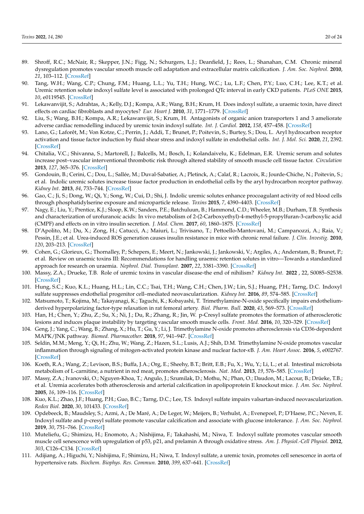- 89. Shroff, R.C.; McNair, R.; Skepper, J.N.; Figg, N.; Schurgers, L.J.; Deanfield, J.; Rees, L.; Shanahan, C.M. Chronic mineral dysregulation promotes vascular smooth muscle cell adaptation and extracellular matrix calcification. *J. Am. Soc. Nephrol.* **2010**, *21*, 103–112. [\[CrossRef\]](http://dx.doi.org/10.1681/ASN.2009060640)
- 90. Tang, W.H.; Wang, C.P.; Chung, F.M.; Huang, L.L.; Yu, T.H.; Hung, W.C.; Lu, L.F.; Chen, P.Y.; Luo, C.H.; Lee, K.T.; et al. Uremic retention solute indoxyl sulfate level is associated with prolonged QTc interval in early CKD patients. *PLoS ONE* **2015**, *10*, e0119545. [\[CrossRef\]](http://dx.doi.org/10.1371/journal.pone.0119545)
- 91. Lekawanvijit, S.; Adrahtas, A.; Kelly, D.J.; Kompa, A.R.; Wang, B.H.; Krum, H. Does indoxyl sulfate, a uraemic toxin, have direct effects on cardiac fibroblasts and myocytes? *Eur. Heart J.* **2010**, *31*, 1771–1779. [\[CrossRef\]](http://dx.doi.org/10.1093/eurheartj/ehp574)
- 92. Liu, S.; Wang, B.H.; Kompa, A.R.; Lekawanvijit, S.; Krum, H. Antagonists of organic anion transporters 1 and 3 ameliorate adverse cardiac remodelling induced by uremic toxin indoxyl sulfate. *Int. J. Cardiol.* **2012**, *158*, 457–458. [\[CrossRef\]](http://dx.doi.org/10.1016/j.ijcard.2012.05.022)
- 93. Lano, G.; Laforêt, M.; Von Kotze, C.; Perrin, J.; Addi, T.; Brunet, P.; Poitevin, S.; Burtey, S.; Dou, L. Aryl hydrocarbon receptor activation and tissue factor induction by fluid shear stress and indoxyl sulfate in endothelial cells. *Int. J. Mol. Sci.* **2020**, *21*, 2392. [\[CrossRef\]](http://dx.doi.org/10.3390/ijms21072392)
- 94. Chitalia, V.C.; Shivanna, S.; Martorell, J.; Balcells, M.; Bosch, I.; Kolandaivelu, K.; Edelman, E.R. Uremic serum and solutes increase post–vascular interventional thrombotic risk through altered stability of smooth muscle cell tissue factor. *Circulation* **2013**, *127*, 365–376. [\[CrossRef\]](http://dx.doi.org/10.1161/CIRCULATIONAHA.112.118174)
- 95. Gondouin, B.; Cerini, C.; Dou, L.; Sallée, M.; Duval-Sabatier, A.; Pletinck, A.; Calaf, R.; Lacroix, R.; Jourde-Chiche, N.; Poitevin, S.; et al. Indolic uremic solutes increase tissue factor production in endothelial cells by the aryl hydrocarbon receptor pathway. *Kidney Int.* **2013**, *84*, 733–744. [\[CrossRef\]](http://dx.doi.org/10.1038/ki.2013.133)
- 96. Gao, C.; Ji, S.; Dong, W.; Qi, Y.; Song, W.; Cui, D.; Shi, J. Indolic uremic solutes enhance procoagulant activity of red blood cells through phosphatidylserine exposure and microparticle release. *Toxins* **2015**, *7*, 4390–4403. [\[CrossRef\]](http://dx.doi.org/10.3390/toxins7114390)
- 97. Nagy, E.; Liu, Y.; Prentice, K.J.; Sloop, K.W.; Sanders, P.E.; Batchuluun, B.; Hammond, C.D.; Wheeler, M.B.; Durham, T.B. Synthesis and characterization of urofuranoic acids: In vivo metabolism of 2-(2-Carboxyethyl)-4-methyl-5-propylfuran-3-carboxylic acid (CMPF) and effects on in vitro insulin secretion. *J. Med. Chem.* **2017**, *60*, 1860–1875. [\[CrossRef\]](http://dx.doi.org/10.1021/acs.jmedchem.6b01668)
- 98. D'Apolito, M.; Du, X.; Zong, H.; Catucci, A.; Maiuri, L.; Trivisano, T.; Pettoello-Mantovani, M.; Campanozzi, A.; Raia, V.; Pessin, J.E.; et al. Urea-induced ROS generation causes insulin resistance in mice with chronic renal failure. *J. Clin. Investig.* **2010**, *120*, 203–213. [\[CrossRef\]](http://dx.doi.org/10.1172/JCI37672)
- 99. Cohen, G.; Glorieux, G.; Thornalley, P.; Schepers, E.; Meert, N.; Jankowski, J.; Jankowski, V.; Argiles, A.; Anderstam, B.; Brunet, P.; et al. Review on uraemic toxins III: Recommendations for handling uraemic retention solutes in vitro—Towards a standardized approach for research on uraemia. *Nephrol. Dial. Transplant.* **2007**, *22*, 3381–3390. [\[CrossRef\]](http://dx.doi.org/10.1093/ndt/gfm210)
- 100. Massy, Z.A.; Drueke, T.B. Role of uremic toxins in vascular disease-the end of nihilism? *Kidney Int.* **2022** , 22, S0085–S2538. [\[CrossRef\]](http://dx.doi.org/10.1016/j.kint.2022.01.024)
- 101. Hung, S.C.; Kuo, K.L.; Huang, H.L.; Lin, C.C.; Tsai, T.H.; Wang, C.H.; Chen, J.W.; Lin, S.J.; Huang, P.H.; Tarng, D.C. Indoxyl sulfate suppresses endothelial progenitor cell–mediated neovascularization. *Kidney Int.* **2016**, *89*, 574–585. [\[CrossRef\]](http://dx.doi.org/10.1016/j.kint.2015.11.020)
- 102. Matsumoto, T.; Kojima, M.; Takayanagi, K.; Taguchi, K.; Kobayashi, T. Trimethylamine-N-oxide specifically impairs endotheliumderived hyperpolarizing factor-type relaxation in rat femoral artery. *Biol. Pharm. Bull.* **2020**, *43*, 569–573. [\[CrossRef\]](http://dx.doi.org/10.1248/bpb.b19-00957)
- 103. Han, H.; Chen, Y.; Zhu, Z.; Su, X.; Ni, J.; Du, R.; Zhang, R.; Jin, W. p-Cresyl sulfate promotes the formation of atherosclerotic lesions and induces plaque instability by targeting vascular smooth muscle cells. *Front. Med.* **2016**, *10*, 320–329. [\[CrossRef\]](http://dx.doi.org/10.1007/s11684-016-0463-x)
- 104. Geng, J.; Yang, C.; Wang, B.; Zhang, X.; Hu, T.; Gu, Y.; Li, J. Trimethylamine N-oxide promotes atherosclerosis via CD36-dependent MAPK/JNK pathway. *Biomed. Pharmacother.* **2018**, *97*, 941–947. [\[CrossRef\]](http://dx.doi.org/10.1016/j.biopha.2017.11.016)
- 105. Seldin, M.M.; Meng, Y.; Qi, H.; Zhu, W.; Wang, Z.; Hazen, S.L.; Lusis, A.J.; Shih, D.M. Trimethylamine N-oxide promotes vascular inflammation through signaling of mitogen-activated protein kinase and nuclear factor-*κ*B. *J. Am. Heart Assoc.* **2016**, *5*, e002767. [\[CrossRef\]](http://dx.doi.org/10.1161/JAHA.115.002767)
- 106. Koeth, R.A.; Wang, Z.; Levison, B.S.; Buffa, J.A.; Org, E.; Sheehy, B.T.; Britt, E.B.; Fu, X.; Wu, Y.; Li, L.; et al. Intestinal microbiota metabolism of L-carnitine, a nutrient in red meat, promotes atherosclerosis. *Nat. Med.* **2013**, *19*, 576–585. [\[CrossRef\]](http://dx.doi.org/10.1038/nm.3145)
- 107. Massy, Z.A.; Ivanovski, O.; Nguyen-Khoa, T.; Angulo, J.; Szumilak, D.; Mothu, N.; Phan, O.; Daudon, M.; Lacour, B.; Drüeke, T.B.; et al. Uremia accelerates both atherosclerosis and arterial calcification in apolipoprotein E knockout mice. *J. Am. Soc. Nephrol.* **2005**, *16*, 109–116. [\[CrossRef\]](http://dx.doi.org/10.1681/ASN.2004060495)
- 108. Kuo, K.L.; Zhao, J.F.; Huang, P.H.; Guo, B.C.; Tarng, D.C.; Lee, T.S. Indoxyl sulfate impairs valsartan-induced neovascularization. *Redox Biol.* **2020**, *30*, 101433. [\[CrossRef\]](http://dx.doi.org/10.1016/j.redox.2020.101433)
- 109. Opdebeeck, B.; Maudsley, S.; Azmi, A.; De Maré, A.; De Leger, W.; Meijers, B.; Verhulst, A.; Evenepoel, P.; D'Haese, P.C.; Neven, E. Indoxyl sulfate and p-cresyl sulfate promote vascular calcification and associate with glucose intolerance. *J. Am. Soc. Nephrol.* **2019**, *30*, 751–766. [\[CrossRef\]](http://dx.doi.org/10.1681/ASN.2018060609)
- 110. Muteliefu, G.; Shimizu, H.; Enomoto, A.; Nishijima, F.; Takahashi, M.; Niwa, T. Indoxyl sulfate promotes vascular smooth muscle cell senescence with upregulation of p53, p21, and prelamin A through oxidative stress. *Am. J. Physiol.-Cell Physiol.* **2012**, *303*, C126–C134. [\[CrossRef\]](http://dx.doi.org/10.1152/ajpcell.00329.2011)
- 111. Adijiang, A.; Higuchi, Y.; Nishijima, F.; Shimizu, H.; Niwa, T. Indoxyl sulfate, a uremic toxin, promotes cell senescence in aorta of hypertensive rats. *Biochem. Biophys. Res. Commun.* **2010**, *399*, 637–641. [\[CrossRef\]](http://dx.doi.org/10.1016/j.bbrc.2010.07.130)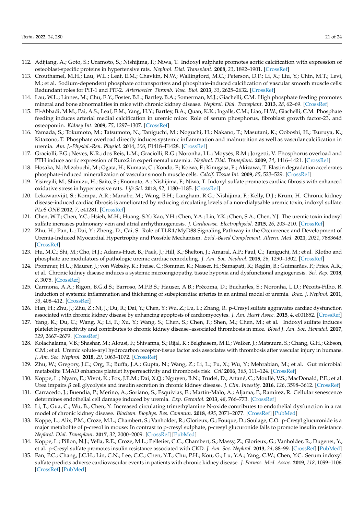- 112. Adijiang, A.; Goto, S.; Uramoto, S.; Nishijima, F.; Niwa, T. Indoxyl sulphate promotes aortic calcification with expression of osteoblast-specific proteins in hypertensive rats. *Nephrol. Dial. Transplant.* **2008**, *23*, 1892–1901. [\[CrossRef\]](http://dx.doi.org/10.1093/ndt/gfm861)
- 113. Crouthamel, M.H.; Lau, W.L.; Leaf, E.M.; Chavkin, N.W.; Wallingford, M.C.; Peterson, D.F.; Li, X.; Liu, Y.; Chin, M.T.; Levi, M.; et al. Sodium-dependent phosphate cotransporters and phosphate-induced calcification of vascular smooth muscle cells: Redundant roles for PiT-1 and PiT-2. *Arterioscler. Thromb. Vasc. Biol.* **2013**, *33*, 2625–2632. [\[CrossRef\]](http://dx.doi.org/10.1161/ATVBAHA.113.302249)
- 114. Lau, W.L.; Linnes, M.; Chu, E.Y.; Foster, B.L.; Bartley, B.A.; Somerman, M.J.; Giachelli, C.M. High phosphate feeding promotes mineral and bone abnormalities in mice with chronic kidney disease. *Nephrol. Dial. Transplant.* **2013**, *28*, 62–69. [\[CrossRef\]](http://dx.doi.org/10.1093/ndt/gfs333)
- 115. El-Abbadi, M.M.; Pai, A.S.; Leaf, E.M.; Yang, H.Y.; Bartley, B.A.; Quan, K.K.; Ingalls, C.M.; Liao, H.W.; Giachelli, C.M. Phosphate feeding induces arterial medial calcification in uremic mice: Role of serum phosphorus, fibroblast growth factor-23, and osteopontin. *Kidney Int.* **2009**, *75*, 1297–1307. [\[CrossRef\]](http://dx.doi.org/10.1038/ki.2009.83)
- 116. Yamada, S.; Tokumoto, M.; Tatsumoto, N.; Taniguchi, M.; Noguchi, H.; Nakano, T.; Masutani, K.; Ooboshi, H.; Tsuruya, K.; Kitazono, T. Phosphate overload directly induces systemic inflammation and malnutrition as well as vascular calcification in uremia. *Am. J.-Physiol.-Ren. Physiol.* **2014**, *306*, F1418–F1428. [\[CrossRef\]](http://dx.doi.org/10.1152/ajprenal.00633.2013)
- 117. Graciolli, F.G.; Neves, K.R.; dos Reis, L.M.; Graciolli, R.G.; Noronha, I.L.; Moysés, R.M.; Jorgetti, V. Phosphorus overload and PTH induce aortic expression of Runx2 in experimental uraemia. *Nephrol. Dial. Transplant.* **2009**, *24*, 1416–1421. [\[CrossRef\]](http://dx.doi.org/10.1093/ndt/gfn686)
- 118. Hosaka, N.; Mizobuchi, M.; Ogata, H.; Kumata, C.; Kondo, F.; Koiwa, F.; Kinugasa, E.; Akizawa, T. Elastin degradation accelerates phosphate-induced mineralization of vascular smooth muscle cells. *Calcif. Tissue Int.* **2009**, *85*, 523–529. [\[CrossRef\]](http://dx.doi.org/10.1007/s00223-009-9297-8)
- 119. Yisireyili, M.; Shimizu, H.; Saito, S.; Enomoto, A.; Nishijima, F.; Niwa, T. Indoxyl sulfate promotes cardiac fibrosis with enhanced oxidative stress in hypertensive rats. *Life Sci.* **2013**, *92*, 1180–1185. [\[CrossRef\]](http://dx.doi.org/10.1016/j.lfs.2013.05.008)
- 120. Lekawanvijit, S.; Kompa, A.R.; Manabe, M.; Wang, B.H.; Langham, R.G.; Nishijima, F.; Kelly, D.J.; Krum, H. Chronic kidney disease-induced cardiac fibrosis is ameliorated by reducing circulating levels of a non-dialysable uremic toxin, indoxyl sulfate. *PLoS ONE* **2012**, *7*, e41281. [\[CrossRef\]](http://dx.doi.org/10.1371/journal.pone.0041281)
- 121. Chen, W.T.; Chen, Y.C.; Hsieh, M.H.; Huang, S.Y.; Kao, Y.H.; Chen, Y.A.; Lin, Y.K.; Chen, S.A.; Chen, Y.J. The uremic toxin indoxyl sulfate increases pulmonary vein and atrial arrhythmogenesis. *J. Cardiovasc. Electrophysiol.* **2015**, *26*, 203–210. [\[CrossRef\]](http://dx.doi.org/10.1111/jce.12554)
- 122. Zhu, H.; Pan, L.; Dai, Y.; Zheng, D.; Cai, S. Role of TLR4/MyD88 Signaling Pathway in the Occurrence and Development of Uremia-Induced Myocardial Hypertrophy and Possible Mechanism. *Evid.-Based Complement. Altern. Med.* **2021**, *2021*, 7883643. [\[CrossRef\]](http://dx.doi.org/10.1155/2021/7883643)
- 123. Hu, M.C.; Shi, M.; Cho, H.J.; Adams-Huet, B.; Paek, J.; Hill, K.; Shelton, J.; Amaral, A.P.; Faul, C.; Taniguchi, M.; et al. Klotho and phosphate are modulators of pathologic uremic cardiac remodeling. *J. Am. Soc. Nephrol.* **2015**, *26*, 1290–1302. [\[CrossRef\]](http://dx.doi.org/10.1681/ASN.2014050465)
- 124. Prommer, H.U.; Maurer, J.; von Websky, K.; Freise, C.; Sommer, K.; Nasser, H.; Samapati, R.; Reglin, B.; Guimarães, P.; Pries, A.R.; et al. Chronic kidney disease induces a systemic microangiopathy, tissue hypoxia and dysfunctional angiogenesis. *Sci. Rep.* **2018**, *8*, 3075. [\[CrossRef\]](http://dx.doi.org/10.1038/s41598-018-23663-1)
- 125. Carmona, A.A.; Rigon, B.G.d.S.; Barroso, M.P.B.S.; Hauser, A.B.; Précoma, D.; Bucharles, S.; Noronha, L.D.; Pécoits-Filho, R. Induction of systemic inflammation and thickening of subepicardiac arteries in an animal model of uremia. *Braz. J. Nephrol.* **2011**, *33*, 408–412. [\[CrossRef\]](http://dx.doi.org/10.1590/S0101-28002011000400004)
- 126. Han, H.; Zhu, J.; Zhu, Z.; Ni, J.; Du, R.; Dai, Y.; Chen, Y.; Wu, Z.; Lu, L.; Zhang, R. p-Cresyl sulfate aggravates cardiac dysfunction associated with chronic kidney disease by enhancing apoptosis of cardiomyocytes. *J. Am. Heart Assoc.* **2015**, *4*, e001852. [\[CrossRef\]](http://dx.doi.org/10.1161/JAHA.115.001852)
- 127. Yang, K.; Du, C.; Wang, X.; Li, F.; Xu, Y.; Wang, S.; Chen, S.; Chen, F.; Shen, M.; Chen, M.; et al. Indoxyl sulfate induces platelet hyperactivity and contributes to chronic kidney disease–associated thrombosis in mice. *Blood J. Am. Soc. Hematol.* **2017**, *129*, 2667–2679. [\[CrossRef\]](http://dx.doi.org/10.1182/blood-2016-10-744060)
- 128. Kolachalama, V.B.; Shashar, M.; Alousi, F.; Shivanna, S.; Rijal, K.; Belghasem, M.E.; Walker, J.; Matsuura, S.; Chang, G.H.; Gibson, C.M.; et al. Uremic solute-aryl hydrocarbon receptor-tissue factor axis associates with thrombosis after vascular injury in humans. *J. Am. Soc. Nephrol.* **2018**, *29*, 1063–1072. [\[CrossRef\]](http://dx.doi.org/10.1681/ASN.2017080929)
- 129. Zhu, W.; Gregory, J.C.; Org, E.; Buffa, J.A.; Gupta, N.; Wang, Z.; Li, L.; Fu, X.; Wu, Y.; Mehrabian, M.; et al. Gut microbial metabolite TMAO enhances platelet hyperreactivity and thrombosis risk. *Cell* **2016**, *165*, 111–124. [\[CrossRef\]](http://dx.doi.org/10.1016/j.cell.2016.02.011)
- 130. Koppe, L.; Nyam, E.; Vivot, K.; Fox, J.E.M.; Dai, X.Q.; Nguyen, B.N.; Trudel, D.; Attané, C.; Moullé, V.S.; MacDonald, P.E.; et al. Urea impairs *β* cell glycolysis and insulin secretion in chronic kidney disease. *J. Clin. Investig.* **2016**, *126*, 3598–3612. [\[CrossRef\]](http://dx.doi.org/10.1172/JCI86181)
- 131. Carracedo, J.; Buendía, P.; Merino, A.; Soriano, S.; Esquivias, E.; Martín-Malo, A.; Aljama, P.; Ramírez, R. Cellular senescence determines endothelial cell damage induced by uremia. *Exp. Gerontol.* **2013**, *48*, 766–773. [\[CrossRef\]](http://dx.doi.org/10.1016/j.exger.2013.04.004)
- 132. Li, T.; Gua, C.; Wu, B.; Chen, Y. Increased circulating trimethylamine N-oxide contributes to endothelial dysfunction in a rat model of chronic kidney disease. *Biochem. Biophys. Res. Commun.* **2018**, *495*, 2071–2077. [\[CrossRef\]](http://dx.doi.org/10.1016/j.bbrc.2017.12.069) [\[PubMed\]](http://www.ncbi.nlm.nih.gov/pubmed/29247650)
- 133. Koppe, L.; Alix, P.M.; Croze, M.L.; Chambert, S.; Vanholder, R.; Glorieux, G.; Fouque, D.; Soulage, C.O. p-Cresyl glucuronide is a major metabolite of p-cresol in mouse: In contrast to p-cresyl sulphate, p-cresyl glucuronide fails to promote insulin resistance. *Nephrol. Dial. Transplant.* **2017**, *32*, 2000–2009. [\[CrossRef\]](http://dx.doi.org/10.1093/ndt/gfx089) [\[PubMed\]](http://www.ncbi.nlm.nih.gov/pubmed/28992089)
- 134. Koppe, L.; Pillon, N.J.; Vella, R.E.; Croze, M.L.; Pelletier, C.C.; Chambert, S.; Massy, Z.; Glorieux, G.; Vanholder, R.; Dugenet, Y.; et al. p-Cresyl sulfate promotes insulin resistance associated with CKD. *J. Am. Soc. Nephrol.* **2013**, *24*, 88–99. [\[CrossRef\]](http://dx.doi.org/10.1681/ASN.2012050503) [\[PubMed\]](http://www.ncbi.nlm.nih.gov/pubmed/23274953)
- 135. Fan, P.C.; Chang, J.C.H.; Lin, C.N.; Lee, C.C.; Chen, Y.T.; Chu, P.H.; Kou, G.; Lu, Y.A.; Yang, C.W.; Chen, Y.C. Serum indoxyl sulfate predicts adverse cardiovascular events in patients with chronic kidney disease. *J. Formos. Med. Assoc.* **2019**, *118*, 1099–1106. [\[CrossRef\]](http://dx.doi.org/10.1016/j.jfma.2019.03.005) [\[PubMed\]](http://www.ncbi.nlm.nih.gov/pubmed/30928187)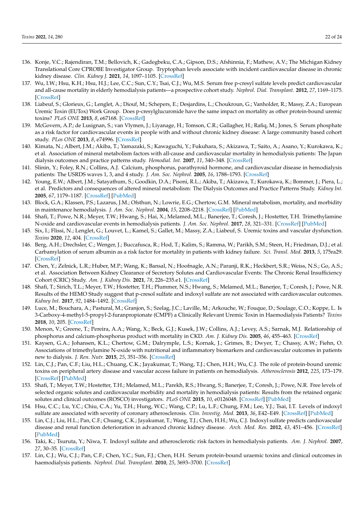- 136. Konje, V.C.; Rajendiran, T.M.; Bellovich, K.; Gadegbeku, C.A.; Gipson, D.S.; Afshinnia, F.; Mathew, A.V.; The Michigan Kidney Translational Core CPROBE Investigator Group. Tryptophan levels associate with incident cardiovascular disease in chronic kidney disease. *Clin. Kidney J.* **2021**, *14*, 1097–1105. [\[CrossRef\]](http://dx.doi.org/10.1093/ckj/sfaa031)
- 137. Wu, I.W.; Hsu, K.H.; Hsu, H.J.; Lee, C.C.; Sun, C.Y.; Tsai, C.J.; Wu, M.S. Serum free p-cresyl sulfate levels predict cardiovascular and all-cause mortality in elderly hemodialysis patients—a prospective cohort study. *Nephrol. Dial. Transplant.* **2012**, *27*, 1169–1175. [\[CrossRef\]](http://dx.doi.org/10.1093/ndt/gfr453)
- 138. Liabeuf, S.; Glorieux, G.; Lenglet, A.; Diouf, M.; Schepers, E.; Desjardins, L.; Choukroun, G.; Vanholder, R.; Massy, Z.A.; European Uremic Toxin (EUTox) Work Group. Does p-cresylglucuronide have the same impact on mortality as other protein-bound uremic toxins? *PLoS ONE* **2013**, *8*, e67168. [\[CrossRef\]](http://dx.doi.org/10.1371/journal.pone.0067168)
- 139. McGovern, A.P.; de Lusignan, S.; van Vlymen, J.; Liyanage, H.; Tomson, C.R.; Gallagher, H.; Rafiq, M.; Jones, S. Serum phosphate as a risk factor for cardiovascular events in people with and without chronic kidney disease: A large community based cohort study. *PLos ONE* **2013**, *8*, e74996. [\[CrossRef\]](http://dx.doi.org/10.1371/journal.pone.0074996)
- 140. Kimata, N.; Albert, J.M.; Akiba, T.; Yamazaki, S.; Kawaguchi, Y.; Fukuhara, S.; Akizawa, T.; Saito, A.; Asano, Y.; Kurokawa, K.; et al. Association of mineral metabolism factors with all-cause and cardiovascular mortality in hemodialysis patients: The Japan dialysis outcomes and practice patterns study. *Hemodial. Int.* **2007**, *11*, 340–348. [\[CrossRef\]](http://dx.doi.org/10.1111/j.1542-4758.2007.00190.x)
- 141. Slinin, Y.; Foley, R.N.; Collins, A.J. Calcium, phosphorus, parathyroid hormone, and cardiovascular disease in hemodialysis patients: The USRDS waves 1, 3, and 4 study. *J. Am. Soc. Nephrol.* **2005**, *16*, 1788–1793. [\[CrossRef\]](http://dx.doi.org/10.1681/ASN.2004040275)
- 142. Young, E.W.; Albert, J.M.; Satayathum, S.; Goodkin, D.A.; Pisoni, R.L.; Akiba, T.; Akizawa, T.; Kurokawa, K.; Bommer, J.; Piera, L.; et al. Predictors and consequences of altered mineral metabolism: The Dialysis Outcomes and Practice Patterns Study. *Kidney Int.* **2005**, *67*, 1179–1187. [\[CrossRef\]](http://dx.doi.org/10.1111/j.1523-1755.2005.00185.x) [\[PubMed\]](http://www.ncbi.nlm.nih.gov/pubmed/15698460)
- 143. Block, G.A.; Klassen, P.S.; Lazarus, J.M.; Ofsthun, N.; Lowrie, E.G.; Chertow, G.M. Mineral metabolism, mortality, and morbidity in maintenance hemodialysis. *J. Am. Soc. Nephrol.* **2004**, *15*, 2208–2218. [\[CrossRef\]](http://dx.doi.org/10.1097/01.ASN.0000133041.27682.A2) [\[PubMed\]](http://www.ncbi.nlm.nih.gov/pubmed/15284307)
- 144. Shafi, T.; Powe, N.R.; Meyer, T.W.; Hwang, S.; Hai, X.; Melamed, M.L.; Banerjee, T.; Coresh, J.; Hostetter, T.H. Trimethylamine N-oxide and cardiovascular events in hemodialysis patients. *J. Am. Soc. Nephrol.* **2017**, *28*, 321–331. [\[CrossRef\]](http://dx.doi.org/10.1681/ASN.2016030374) [\[PubMed\]](http://www.ncbi.nlm.nih.gov/pubmed/27436853)
- 145. Six, I.; Flissi, N.; Lenglet, G.; Louvet, L.; Kamel, S.; Gallet, M.; Massy, Z.A.; Liabeuf, S. Uremic toxins and vascular dysfunction. *Toxins* **2020**, *12*, 404. [\[CrossRef\]](http://dx.doi.org/10.3390/toxins12060404)
- 146. Berg, A.H.; Drechsler, C.; Wenger, J.; Buccafusca, R.; Hod, T.; Kalim, S.; Ramma, W.; Parikh, S.M.; Steen, H.; Friedman, D.J.; et al. Carbamylation of serum albumin as a risk factor for mortality in patients with kidney failure. *Sci. Transl. Med.* **2013**, *5*, 175ra29. [\[CrossRef\]](http://dx.doi.org/10.1126/scitranslmed.3005218)
- 147. Chen, Y.; Zelnick, L.R.; Huber, M.P.; Wang, K.; Bansal, N.; Hoofnagle, A.N.; Paranji, R.K.; Heckbert, S.R.; Weiss, N.S.; Go, A.S.; et al. Association Between Kidney Clearance of Secretory Solutes and Cardiovascular Events: The Chronic Renal Insufficiency Cohort (CRIC) Study. *Am. J. Kidney Dis.* **2021**, *78*, 226–235.e1. [\[CrossRef\]](http://dx.doi.org/10.1053/j.ajkd.2020.12.005)
- 148. Shafi, T.; Sirich, T.L.; Meyer, T.W.; Hostetter, T.H.; Plummer, N.S.; Hwang, S.; Melamed, M.L.; Banerjee, T.; Coresh, J.; Powe, N.R. Results of the HEMO Study suggest that p-cresol sulfate and indoxyl sulfate are not associated with cardiovascular outcomes. *Kidney Int.* **2017**, *92*, 1484–1492. [\[CrossRef\]](http://dx.doi.org/10.1016/j.kint.2017.05.012)
- 149. Luce, M.; Bouchara, A.; Pastural, M.; Granjon, S.; Szelag, J.C.; Laville, M.; Arkouche, W.; Fouque, D.; Soulage, C.O.; Koppe, L. Is 3-Carboxy-4-methyl-5-propyl-2-furanpropionate (CMPF) a Clinically Relevant Uremic Toxin in Haemodialysis Patients? *Toxins* **2018**, *10*, 205. [\[CrossRef\]](http://dx.doi.org/10.3390/toxins10050205)
- 150. Menon, V.; Greene, T.; Pereira, A.A.; Wang, X.; Beck, G.J.; Kusek, J.W.; Collins, A.J.; Levey, A.S.; Sarnak, M.J. Relationship of phosphorus and calcium-phosphorus product with mortality in CKD. *Am. J. Kidney Dis.* **2005**, *46*, 455–463. [\[CrossRef\]](http://dx.doi.org/10.1053/j.ajkd.2005.05.025)
- 151. Kaysen, G.A.; Johansen, K.L.; Chertow, G.M.; Dalrymple, L.S.; Kornak, J.; Grimes, B.; Dwyer, T.; Chassy, A.W.; Fiehn, O. Associations of trimethylamine N-oxide with nutritional and inflammatory biomarkers and cardiovascular outcomes in patients new to dialysis. *J. Ren. Nutr.* **2015**, *25*, 351–356. [\[CrossRef\]](http://dx.doi.org/10.1053/j.jrn.2015.02.006)
- 152. Lin, C.J.; Pan, C.F.; Liu, H.L.; Chuang, C.K.; Jayakumar, T.; Wang, T.J.; Chen, H.H.; Wu, C.J. The role of protein-bound uremic toxins on peripheral artery disease and vascular access failure in patients on hemodialysis. *Atherosclerosis* **2012**, *225*, 173–179. [\[CrossRef\]](http://dx.doi.org/10.1016/j.atherosclerosis.2012.07.012) [\[PubMed\]](http://www.ncbi.nlm.nih.gov/pubmed/22981405)
- 153. Shafi, T.; Meyer, T.W.; Hostetter, T.H.; Melamed, M.L.; Parekh, R.S.; Hwang, S.; Banerjee, T.; Coresh, J.; Powe, N.R. Free levels of selected organic solutes and cardiovascular morbidity and mortality in hemodialysis patients: Results from the retained organic solutes and clinical outcomes (ROSCO) investigators. *PLoS ONE* **2015**, *10*, e0126048. [\[CrossRef\]](http://dx.doi.org/10.1371/journal.pone.0126048) [\[PubMed\]](http://www.ncbi.nlm.nih.gov/pubmed/25938230)
- 154. Hsu, C.C.; Lu, Y.C.; Chiu, C.A.; Yu, T.H.; Hung, W.C.; Wang, C.P.; Lu, L.F.; Chung, F.M.; Lee, Y.J.; Tsai, I.T. Levels of indoxyl sulfate are associated with severity of coronary atherosclerosis. *Clin. Investig. Med.* **2013**, *36*, E42–E49. [\[CrossRef\]](http://dx.doi.org/10.25011/cim.v36i1.19404) [\[PubMed\]](http://www.ncbi.nlm.nih.gov/pubmed/23374599)
- 155. Lin, C.J.; Liu, H.L.; Pan, C.F.; Chuang, C.K.; Jayakumar, T.; Wang, T.J.; Chen, H.H.; Wu, C.J. Indoxyl sulfate predicts cardiovascular disease and renal function deterioration in advanced chronic kidney disease. *Arch. Med. Res.* **2012**, *43*, 451–456. [\[CrossRef\]](http://dx.doi.org/10.1016/j.arcmed.2012.08.002) [\[PubMed\]](http://www.ncbi.nlm.nih.gov/pubmed/22885091)
- 156. Taki, K.; Tsuruta, Y.; Niwa, T. Indoxyl sulfate and atherosclerotic risk factors in hemodialysis patients. *Am. J. Nephrol.* **2007**, *27*, 30–35. [\[CrossRef\]](http://dx.doi.org/10.1159/000098542)
- 157. Lin, C.J.; Wu, C.J.; Pan, C.F.; Chen, Y.C.; Sun, F.J.; Chen, H.H. Serum protein-bound uraemic toxins and clinical outcomes in haemodialysis patients. *Nephrol. Dial. Transplant.* **2010**, *25*, 3693–3700. [\[CrossRef\]](http://dx.doi.org/10.1093/ndt/gfq251)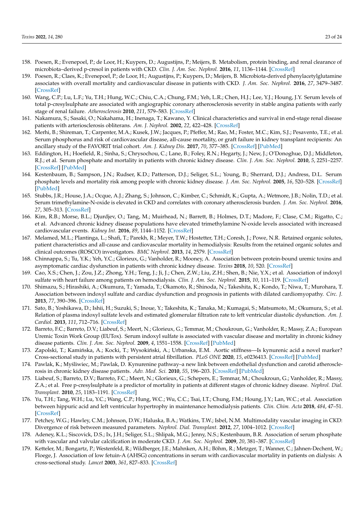- 158. Poesen, R.; Evenepoel, P.; de Loor, H.; Kuypers, D.; Augustijns, P.; Meijers, B. Metabolism, protein binding, and renal clearance of microbiota–derived p-cresol in patients with CKD. *Clin. J. Am. Soc. Nephrol.* **2016**, *11*, 1136–1144. [\[CrossRef\]](http://dx.doi.org/10.2215/CJN.00160116)
- 159. Poesen, R.; Claes, K.; Evenepoel, P.; de Loor, H.; Augustijns, P.; Kuypers, D.; Meijers, B. Microbiota-derived phenylacetylglutamine associates with overall mortality and cardiovascular disease in patients with CKD. *J. Am. Soc. Nephrol.* **2016**, *27*, 3479–3487. [\[CrossRef\]](http://dx.doi.org/10.1681/ASN.2015121302)
- 160. Wang, C.P.; Lu, L.F.; Yu, T.H.; Hung, W.C.; Chiu, C.A.; Chung, F.M.; Yeh, L.R.; Chen, H.J.; Lee, Y.J.; Houng, J.Y. Serum levels of total p-cresylsulphate are associated with angiographic coronary atherosclerosis severity in stable angina patients with early stage of renal failure. *Atherosclerosis* **2010**, *211*, 579–583. [\[CrossRef\]](http://dx.doi.org/10.1016/j.atherosclerosis.2010.03.036)
- 161. Nakamura, S.; Sasaki, O.; Nakahama, H.; Inenaga, T.; Kawano, Y. Clinical characteristics and survival in end-stage renal disease patients with arteriosclerosis obliterans. *Am. J. Nephrol.* **2002**, *22*, 422–428. [\[CrossRef\]](http://dx.doi.org/10.1159/000065267)
- 162. Merhi, B.; Shireman, T.; Carpenter, M.A.; Kusek, J.W.; Jacques, P.; Pfeffer, M.; Rao, M.; Foster, M.C.; Kim, S.J.; Pesavento, T.E.; et al. Serum phosphorus and risk of cardiovascular disease, all-cause mortality, or graft failure in kidney transplant recipients: An ancillary study of the FAVORIT trial cohort. *Am. J. Kidney Dis.* **2017**, *70*, 377–385. [\[CrossRef\]](http://dx.doi.org/10.1053/j.ajkd.2017.04.014) [\[PubMed\]](http://www.ncbi.nlm.nih.gov/pubmed/28579423)
- 163. Eddington, H.; Hoefield, R.; Sinha, S.; Chrysochou, C.; Lane, B.; Foley, R.N.; Hegarty, J.; New, J.; O'Donoghue, D.J.; Middleton, R.J.; et al. Serum phosphate and mortality in patients with chronic kidney disease. *Clin. J. Am. Soc. Nephrol.* **2010**, *5*, 2251–2257. [\[CrossRef\]](http://dx.doi.org/10.2215/CJN.00810110) [\[PubMed\]](http://www.ncbi.nlm.nih.gov/pubmed/20688884)
- 164. Kestenbaum, B.; Sampson, J.N.; Rudser, K.D.; Patterson, D.J.; Seliger, S.L.; Young, B.; Sherrard, D.J.; Andress, D.L. Serum phosphate levels and mortality risk among people with chronic kidney disease. *J. Am. Soc. Nephrol.* **2005**, *16*, 520–528. [\[CrossRef\]](http://dx.doi.org/10.1681/ASN.2004070602) [\[PubMed\]](http://www.ncbi.nlm.nih.gov/pubmed/15615819)
- 165. Stubbs, J.R.; House, J.A.; Ocque, A.J.; Zhang, S.; Johnson, C.; Kimber, C.; Schmidt, K.; Gupta, A.; Wetmore, J.B.; Nolin, T.D.; et al. Serum trimethylamine-N-oxide is elevated in CKD and correlates with coronary atherosclerosis burden. *J. Am. Soc. Nephrol.* **2016**, *27*, 305–313. [\[CrossRef\]](http://dx.doi.org/10.1681/ASN.2014111063)
- 166. Kim, R.B.; Morse, B.L.; Djurdjev, O.; Tang, M.; Muirhead, N.; Barrett, B.; Holmes, D.T.; Madore, F.; Clase, C.M.; Rigatto, C.; et al. Advanced chronic kidney disease populations have elevated trimethylamine N-oxide levels associated with increased cardiovascular events. *Kidney Int.* **2016**, *89*, 1144–1152. [\[CrossRef\]](http://dx.doi.org/10.1016/j.kint.2016.01.014)
- 167. Melamed, M.L.; Plantinga, L.; Shafi, T.; Parekh, R.; Meyer, T.W.; Hostetter, T.H.; Coresh, J.; Powe, N.R. Retained organic solutes, patient characteristics and all-cause and cardiovascular mortality in hemodialysis: Results from the retained organic solutes and clinical outcomes (ROSCO) investigators. *BMC Nephrol.* **2013**, *14*, 2579. [\[CrossRef\]](http://dx.doi.org/10.1186/1471-2369-14-134)
- 168. Chinnappa, S.; Tu, Y.K.; Yeh, Y.C.; Glorieux, G.; Vanholder, R.; Mooney, A. Association between protein-bound uremic toxins and asymptomatic cardiac dysfunction in patients with chronic kidney disease. *Toxins* **2018**, *10*, 520. [\[CrossRef\]](http://dx.doi.org/10.3390/toxins10120520)
- 169. Cao, X.S.; Chen, J.; Zou, J.Z.; Zhong, Y.H.; Teng, J.; Ji, J.; Chen, Z.W.; Liu, Z.H.; Shen, B.; Nie, Y.X.; et al. Association of indoxyl sulfate with heart failure among patients on hemodialysis. *Clin. J. Am. Soc. Nephrol.* **2015**, *10*, 111–119. [\[CrossRef\]](http://dx.doi.org/10.2215/CJN.04730514)
- 170. Shimazu, S.; Hirashiki, A.; Okumura, T.; Yamada, T.; Okamoto, R.; Shinoda, N.; Takeshita, K.; Kondo, T.; Niwa, T.; Murohara, T. Association between indoxyl sulfate and cardiac dysfunction and prognosis in patients with dilated cardiomyopathy. *Circ. J.* **2013**, *77*, 390–396. [\[CrossRef\]](http://dx.doi.org/10.1253/circj.CJ-12-0715)
- 171. Sato, B.; Yoshikawa, D.; Ishii, H.; Suzuki, S.; Inoue, Y.; Takeshita, K.; Tanaka, M.; Kumagai, S.; Matsumoto, M.; Okumura, S.; et al. Relation of plasma indoxyl sulfate levels and estimated glomerular filtration rate to left ventricular diastolic dysfunction. *Am. J. Cardiol.* **2013**, *111*, 712–716. [\[CrossRef\]](http://dx.doi.org/10.1016/j.amjcard.2012.11.025)
- 172. Barreto, F.C.; Barreto, D.V.; Liabeuf, S.; Meert, N.; Glorieux, G.; Temmar, M.; Choukroun, G.; Vanholder, R.; Massy, Z.A.; European Uremic Toxin Work Group (EUTox). Serum indoxyl sulfate is associated with vascular disease and mortality in chronic kidney disease patients. *Clin. J. Am. Soc. Nephrol.* **2009**, *4*, 1551–1558. [\[CrossRef\]](http://dx.doi.org/10.2215/CJN.03980609) [\[PubMed\]](http://www.ncbi.nlm.nih.gov/pubmed/19696217)
- 173. Zapolski, T.; Kamińska, A.; Kocki, T.; Wysokiński, A.; Urbanska, E.M. Aortic stiffness—Is kynurenic acid a novel marker? Cross-sectional study in patients with persistent atrial fibrillation. *PLoS ONE* **2020**, *15*, e0236413. [\[CrossRef\]](http://dx.doi.org/10.1371/journal.pone.0236413) [\[PubMed\]](http://www.ncbi.nlm.nih.gov/pubmed/32735567)
- 174. Pawlak, K.; My´sliwiec, M.; Pawlak, D. Kynurenine pathway–a new link between endothelial dysfunction and carotid atherosclerosis in chronic kidney disease patients. *Adv. Med. Sci.* **2010**, *55*, 196–203. [\[CrossRef\]](http://dx.doi.org/10.2478/v10039-010-0015-6) [\[PubMed\]](http://www.ncbi.nlm.nih.gov/pubmed/20439183)
- 175. Liabeuf, S.; Barreto, D.V.; Barreto, F.C.; Meert, N.; Glorieux, G.; Schepers, E.; Temmar, M.; Choukroun, G.; Vanholder, R.; Massy, Z.A.; et al. Free p-cresylsulphate is a predictor of mortality in patients at different stages of chronic kidney disease. *Nephrol. Dial. Transplant.* **2010**, *25*, 1183–1191. [\[CrossRef\]](http://dx.doi.org/10.1093/ndt/gfp592)
- 176. Yu, T.H.; Tang, W.H.; Lu, Y.C.; Wang, C.P.; Hung, W.C.; Wu, C.C.; Tsai, I.T.; Chung, F.M.; Houng, J.Y.; Lan, W.C.; et al. Association between hippuric acid and left ventricular hypertrophy in maintenance hemodialysis patients. *Clin. Chim. Acta* **2018**, *484*, 47–51. [\[CrossRef\]](http://dx.doi.org/10.1016/j.cca.2018.05.022)
- 177. Petchey, W.G.; Hawley, C.M.; Johnson, D.W.; Haluska, B.A.; Watkins, T.W.; Isbel, N.M. Multimodality vascular imaging in CKD: Divergence of risk between measured parameters. *Nephrol. Dial. Transplant.* **2012**, *27*, 1004–1012. [\[CrossRef\]](http://dx.doi.org/10.1093/ndt/gfr397)
- 178. Adeney, K.L.; Siscovick, D.S.; Ix, J.H.; Seliger, S.L.; Shlipak, M.G.; Jenny, N.S.; Kestenbaum, B.R. Association of serum phosphate with vascular and valvular calcification in moderate CKD. *J. Am. Soc. Nephrol.* **2009**, *20*, 381–387. [\[CrossRef\]](http://dx.doi.org/10.1681/ASN.2008040349)
- 179. Ketteler, M.; Bongartz, P.; Westenfeld, R.; Wildberger, J.E.; Mahnken, A.H.; Böhm, R.; Metzger, T.; Wanner, C.; Jahnen-Dechent, W.; Floege, J. Association of low fetuin-A (AHSG) concentrations in serum with cardiovascular mortality in patients on dialysis: A cross-sectional study. *Lancet* **2003**, *361*, 827–833. [\[CrossRef\]](http://dx.doi.org/10.1016/S0140-6736(03)12710-9)